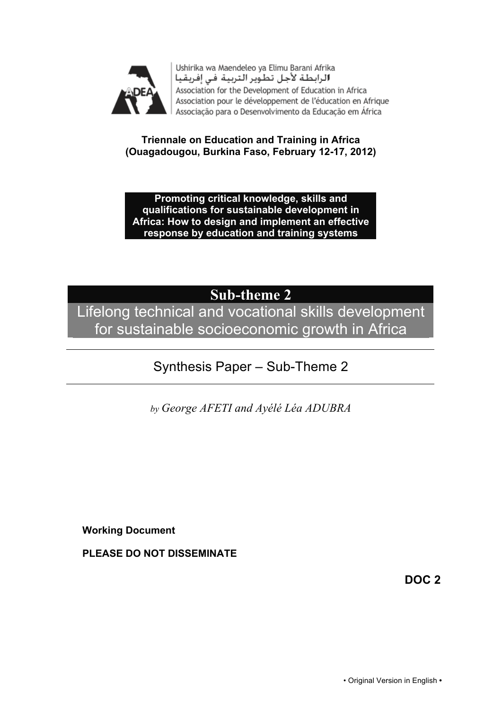

Ushirika wa Maendeleo ya Elimu Barani Afrika الرابطة لأجل تطوير التربية في إفريقيا Association for the Development of Education in Africa Association pour le développement de l'éducation en Afrique Associação para o Desenvolvimento da Educação em África

#### **Triennale on Education and Training in Africa (Ouagadougou, Burkina Faso, February 12-17, 2012)**

**Promoting critical knowledge, skills and qualifications for sustainable development in Africa: How to design and implement an effective response by education and training systems**

# **Sub-theme 2**

Lifelong technical and vocational skills development for sustainable socioeconomic growth in Africa

# Synthesis Paper – Sub-Theme 2

*by George AFETI and Ayélé Léa ADUBRA*

**Working Document**

**PLEASE DO NOT DISSEMINATE**

**DOC 2**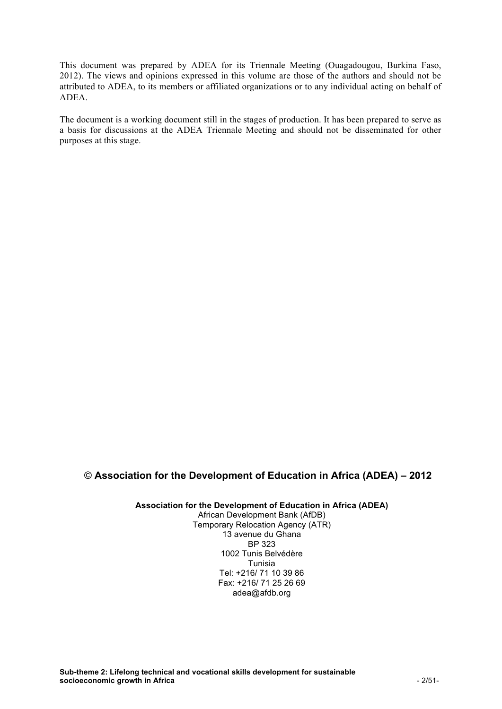This document was prepared by ADEA for its Triennale Meeting (Ouagadougou, Burkina Faso, 2012). The views and opinions expressed in this volume are those of the authors and should not be attributed to ADEA, to its members or affiliated organizations or to any individual acting on behalf of ADEA.

The document is a working document still in the stages of production. It has been prepared to serve as a basis for discussions at the ADEA Triennale Meeting and should not be disseminated for other purposes at this stage.

#### © **Association for the Development of Education in Africa (ADEA) – 2012**

#### **Association for the Development of Education in Africa (ADEA)**

African Development Bank (AfDB) Temporary Relocation Agency (ATR) 13 avenue du Ghana BP 323 1002 Tunis Belvédère Tunisia Tel: +216/ 71 10 39 86 Fax: +216/ 71 25 26 69 adea@afdb.org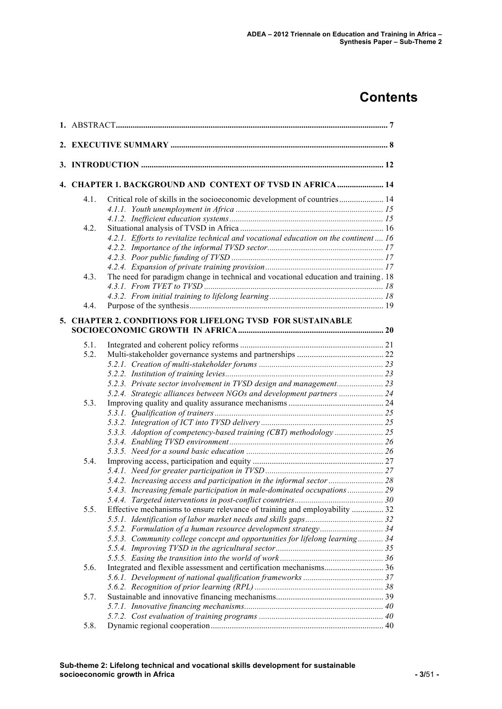# **Contents**

|      | 4. CHAPTER 1. BACKGROUND AND CONTEXT OF TVSD IN AFRICA  14                           |  |  |  |  |
|------|--------------------------------------------------------------------------------------|--|--|--|--|
| 4.1. | Critical role of skills in the socioeconomic development of countries 14             |  |  |  |  |
|      |                                                                                      |  |  |  |  |
|      |                                                                                      |  |  |  |  |
| 4.2. |                                                                                      |  |  |  |  |
|      | 4.2.1. Efforts to revitalize technical and vocational education on the continent  16 |  |  |  |  |
|      |                                                                                      |  |  |  |  |
|      |                                                                                      |  |  |  |  |
|      |                                                                                      |  |  |  |  |
| 4.3. | The need for paradigm change in technical and vocational education and training. 18  |  |  |  |  |
|      |                                                                                      |  |  |  |  |
|      |                                                                                      |  |  |  |  |
| 4.4. |                                                                                      |  |  |  |  |
|      | 5. CHAPTER 2. CONDITIONS FOR LIFELONG TVSD FOR SUSTAINABLE                           |  |  |  |  |
|      |                                                                                      |  |  |  |  |
| 5.1. |                                                                                      |  |  |  |  |
| 5.2. |                                                                                      |  |  |  |  |
|      |                                                                                      |  |  |  |  |
|      |                                                                                      |  |  |  |  |
|      | 5.2.3. Private sector involvement in TVSD design and management 23                   |  |  |  |  |
|      | 5.2.4. Strategic alliances between NGOs and development partners  24                 |  |  |  |  |
| 5.3. |                                                                                      |  |  |  |  |
|      |                                                                                      |  |  |  |  |
|      |                                                                                      |  |  |  |  |
|      |                                                                                      |  |  |  |  |
|      |                                                                                      |  |  |  |  |
|      |                                                                                      |  |  |  |  |
| 5.4. |                                                                                      |  |  |  |  |
|      |                                                                                      |  |  |  |  |
|      |                                                                                      |  |  |  |  |
|      | 5.4.3. Increasing female participation in male-dominated occupations 29              |  |  |  |  |
|      |                                                                                      |  |  |  |  |
| 5.5. | Effective mechanisms to ensure relevance of training and employability  32           |  |  |  |  |
|      |                                                                                      |  |  |  |  |
|      |                                                                                      |  |  |  |  |
|      | 5.5.3. Community college concept and opportunities for lifelong learning 34          |  |  |  |  |
|      |                                                                                      |  |  |  |  |
|      |                                                                                      |  |  |  |  |
| 5.6. |                                                                                      |  |  |  |  |
|      |                                                                                      |  |  |  |  |
|      |                                                                                      |  |  |  |  |
| 5.7. |                                                                                      |  |  |  |  |
|      |                                                                                      |  |  |  |  |
|      |                                                                                      |  |  |  |  |
| 5.8. |                                                                                      |  |  |  |  |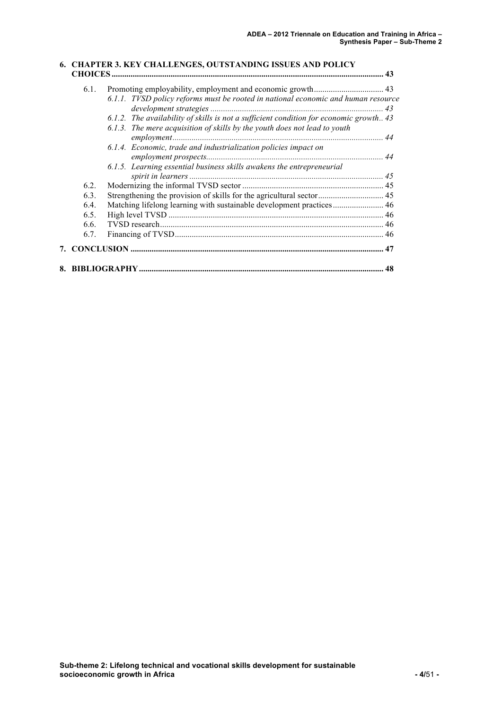#### **6. CHAPTER 3. KEY CHALLENGES, OUTSTANDING ISSUES AND POLICY CHOICES ................................................................................................................................. 43** 6.1. Promoting employability, employment and economic growth................................. 43 *6.1.1. TVSD policy reforms must be rooted in national economic and human resource development strategies .................................................................................. 43 6.1.2. The availability of skills is not a sufficient condition for economic growth.. 43 6.1.3. The mere acquisition of skills by the youth does not lead to youth employment.................................................................................................... 44 6.1.4. Economic, trade and industrialization policies impact on employment prospects.................................................................................... 44 6.1.5. Learning essential business skills awakens the entrepreneurial spirit in learners ............................................................................................ 45* 6.2. Modernizing the informal TVSD sector ................................................................... 45 6.3. Strengthening the provision of skills for the agricultural sector............................... 45 6.4. Matching lifelong learning with sustainable development practices........................ 46 6.5. High level TVSD ...................................................................................................... 46 6.6. TVSD research.......................................................................................................... 46 6.7. Financing of TVSD................................................................................................... 46 **7. CONCLUSION ........................................................................................................................ 47 8. BIBLIOGRAPHY.................................................................................................................... 48**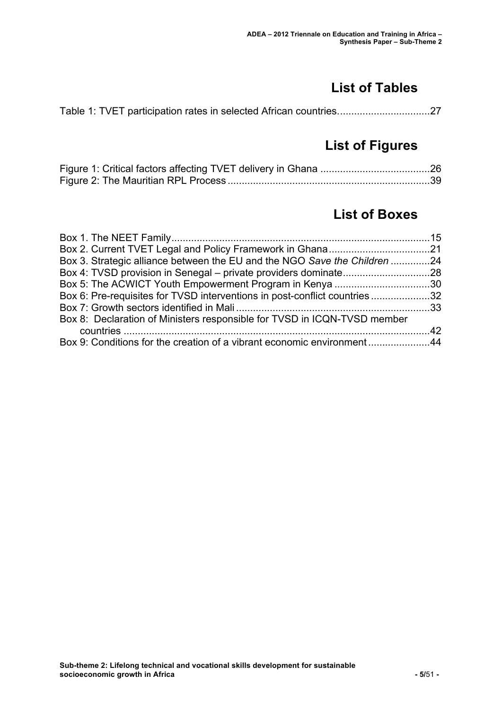# **List of Tables**

# **List of Figures**

# **List of Boxes**

| Box 3. Strategic alliance between the EU and the NGO Save the Children 24  |  |
|----------------------------------------------------------------------------|--|
|                                                                            |  |
|                                                                            |  |
| Box 6: Pre-requisites for TVSD interventions in post-conflict countries 32 |  |
|                                                                            |  |
| Box 8: Declaration of Ministers responsible for TVSD in ICQN-TVSD member   |  |
|                                                                            |  |
| Box 9: Conditions for the creation of a vibrant economic environment44     |  |
|                                                                            |  |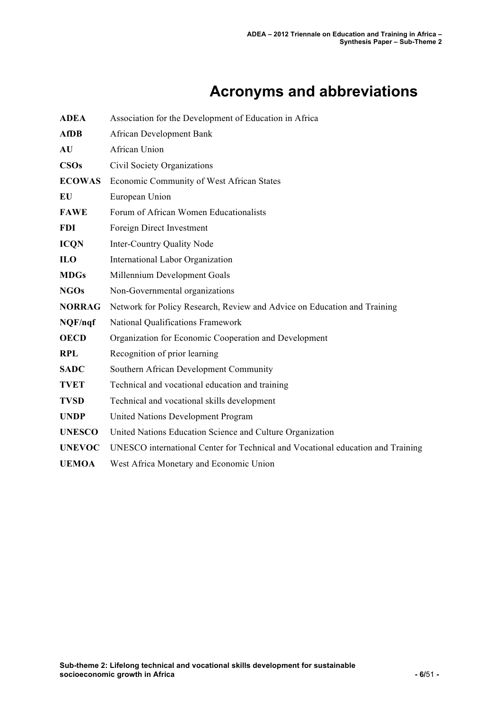# **Acronyms and abbreviations**

| <b>ADEA</b>   | Association for the Development of Education in Africa                          |  |  |
|---------------|---------------------------------------------------------------------------------|--|--|
| <b>AfDB</b>   | African Development Bank                                                        |  |  |
| AU            | African Union                                                                   |  |  |
| <b>CSOs</b>   | Civil Society Organizations                                                     |  |  |
| <b>ECOWAS</b> | Economic Community of West African States                                       |  |  |
| EU            | European Union                                                                  |  |  |
| <b>FAWE</b>   | Forum of African Women Educationalists                                          |  |  |
| <b>FDI</b>    | Foreign Direct Investment                                                       |  |  |
| <b>ICQN</b>   | <b>Inter-Country Quality Node</b>                                               |  |  |
| <b>ILO</b>    | International Labor Organization                                                |  |  |
| <b>MDGs</b>   | Millennium Development Goals                                                    |  |  |
| <b>NGOs</b>   | Non-Governmental organizations                                                  |  |  |
| <b>NORRAG</b> | Network for Policy Research, Review and Advice on Education and Training        |  |  |
| NQF/nqf       | National Qualifications Framework                                               |  |  |
| <b>OECD</b>   | Organization for Economic Cooperation and Development                           |  |  |
| <b>RPL</b>    | Recognition of prior learning                                                   |  |  |
| <b>SADC</b>   | Southern African Development Community                                          |  |  |
| <b>TVET</b>   | Technical and vocational education and training                                 |  |  |
| <b>TVSD</b>   | Technical and vocational skills development                                     |  |  |
| <b>UNDP</b>   | <b>United Nations Development Program</b>                                       |  |  |
| <b>UNESCO</b> | United Nations Education Science and Culture Organization                       |  |  |
| <b>UNEVOC</b> | UNESCO international Center for Technical and Vocational education and Training |  |  |
| <b>UEMOA</b>  | West Africa Monetary and Economic Union                                         |  |  |
|               |                                                                                 |  |  |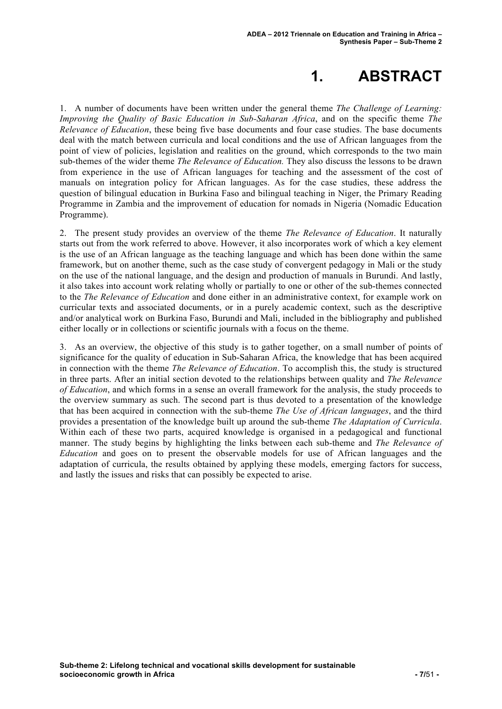# **1. ABSTRACT**

1. A number of documents have been written under the general theme *The Challenge of Learning: Improving the Quality of Basic Education in Sub-Saharan Africa*, and on the specific theme *The Relevance of Education*, these being five base documents and four case studies. The base documents deal with the match between curricula and local conditions and the use of African languages from the point of view of policies, legislation and realities on the ground, which corresponds to the two main sub-themes of the wider theme *The Relevance of Education.* They also discuss the lessons to be drawn from experience in the use of African languages for teaching and the assessment of the cost of manuals on integration policy for African languages. As for the case studies, these address the question of bilingual education in Burkina Faso and bilingual teaching in Niger, the Primary Reading Programme in Zambia and the improvement of education for nomads in Nigeria (Nomadic Education Programme).

2. The present study provides an overview of the theme *The Relevance of Education*. It naturally starts out from the work referred to above. However, it also incorporates work of which a key element is the use of an African language as the teaching language and which has been done within the same framework, but on another theme, such as the case study of convergent pedagogy in Mali or the study on the use of the national language, and the design and production of manuals in Burundi. And lastly, it also takes into account work relating wholly or partially to one or other of the sub-themes connected to the *The Relevance of Education* and done either in an administrative context, for example work on curricular texts and associated documents, or in a purely academic context, such as the descriptive and/or analytical work on Burkina Faso, Burundi and Mali, included in the bibliography and published either locally or in collections or scientific journals with a focus on the theme.

3. As an overview, the objective of this study is to gather together, on a small number of points of significance for the quality of education in Sub-Saharan Africa, the knowledge that has been acquired in connection with the theme *The Relevance of Education*. To accomplish this, the study is structured in three parts. After an initial section devoted to the relationships between quality and *The Relevance of Education*, and which forms in a sense an overall framework for the analysis, the study proceeds to the overview summary as such. The second part is thus devoted to a presentation of the knowledge that has been acquired in connection with the sub-theme *The Use of African languages*, and the third provides a presentation of the knowledge built up around the sub-theme *The Adaptation of Curricula*. Within each of these two parts, acquired knowledge is organised in a pedagogical and functional manner. The study begins by highlighting the links between each sub-theme and *The Relevance of Education* and goes on to present the observable models for use of African languages and the adaptation of curricula, the results obtained by applying these models, emerging factors for success, and lastly the issues and risks that can possibly be expected to arise.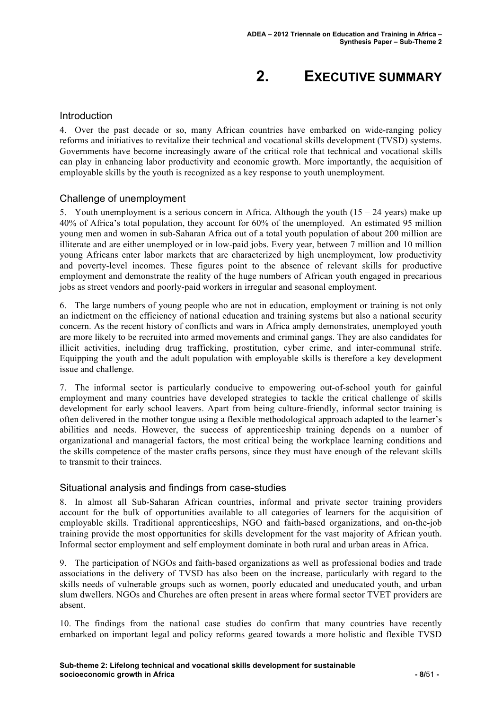# **2. EXECUTIVE SUMMARY**

#### **Introduction**

4. Over the past decade or so, many African countries have embarked on wide-ranging policy reforms and initiatives to revitalize their technical and vocational skills development (TVSD) systems. Governments have become increasingly aware of the critical role that technical and vocational skills can play in enhancing labor productivity and economic growth. More importantly, the acquisition of employable skills by the youth is recognized as a key response to youth unemployment.

#### Challenge of unemployment

5. Youth unemployment is a serious concern in Africa. Although the youth  $(15 - 24 \text{ years})$  make up 40% of Africa's total population, they account for 60% of the unemployed. An estimated 95 million young men and women in sub-Saharan Africa out of a total youth population of about 200 million are illiterate and are either unemployed or in low-paid jobs. Every year, between 7 million and 10 million young Africans enter labor markets that are characterized by high unemployment, low productivity and poverty-level incomes. These figures point to the absence of relevant skills for productive employment and demonstrate the reality of the huge numbers of African youth engaged in precarious jobs as street vendors and poorly-paid workers in irregular and seasonal employment.

6. The large numbers of young people who are not in education, employment or training is not only an indictment on the efficiency of national education and training systems but also a national security concern. As the recent history of conflicts and wars in Africa amply demonstrates, unemployed youth are more likely to be recruited into armed movements and criminal gangs. They are also candidates for illicit activities, including drug trafficking, prostitution, cyber crime, and inter-communal strife. Equipping the youth and the adult population with employable skills is therefore a key development issue and challenge.

7. The informal sector is particularly conducive to empowering out-of-school youth for gainful employment and many countries have developed strategies to tackle the critical challenge of skills development for early school leavers. Apart from being culture-friendly, informal sector training is often delivered in the mother tongue using a flexible methodological approach adapted to the learner's abilities and needs. However, the success of apprenticeship training depends on a number of organizational and managerial factors, the most critical being the workplace learning conditions and the skills competence of the master crafts persons, since they must have enough of the relevant skills to transmit to their trainees.

#### Situational analysis and findings from case-studies

8. In almost all Sub-Saharan African countries, informal and private sector training providers account for the bulk of opportunities available to all categories of learners for the acquisition of employable skills. Traditional apprenticeships, NGO and faith-based organizations, and on-the-job training provide the most opportunities for skills development for the vast majority of African youth. Informal sector employment and self employment dominate in both rural and urban areas in Africa.

9. The participation of NGOs and faith-based organizations as well as professional bodies and trade associations in the delivery of TVSD has also been on the increase, particularly with regard to the skills needs of vulnerable groups such as women, poorly educated and uneducated youth, and urban slum dwellers. NGOs and Churches are often present in areas where formal sector TVET providers are absent.

10. The findings from the national case studies do confirm that many countries have recently embarked on important legal and policy reforms geared towards a more holistic and flexible TVSD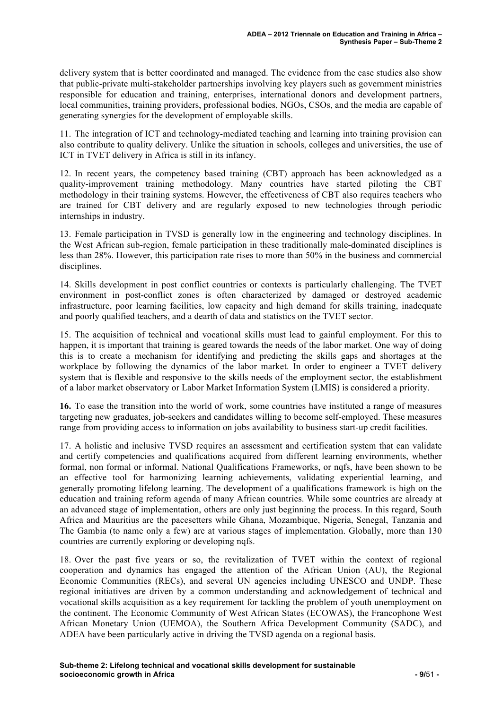delivery system that is better coordinated and managed. The evidence from the case studies also show that public-private multi-stakeholder partnerships involving key players such as government ministries responsible for education and training, enterprises, international donors and development partners, local communities, training providers, professional bodies, NGOs, CSOs, and the media are capable of generating synergies for the development of employable skills.

11. The integration of ICT and technology-mediated teaching and learning into training provision can also contribute to quality delivery. Unlike the situation in schools, colleges and universities, the use of ICT in TVET delivery in Africa is still in its infancy.

12. In recent years, the competency based training (CBT) approach has been acknowledged as a quality-improvement training methodology. Many countries have started piloting the CBT methodology in their training systems. However, the effectiveness of CBT also requires teachers who are trained for CBT delivery and are regularly exposed to new technologies through periodic internships in industry.

13. Female participation in TVSD is generally low in the engineering and technology disciplines. In the West African sub-region, female participation in these traditionally male-dominated disciplines is less than 28%. However, this participation rate rises to more than 50% in the business and commercial disciplines.

14. Skills development in post conflict countries or contexts is particularly challenging. The TVET environment in post-conflict zones is often characterized by damaged or destroyed academic infrastructure, poor learning facilities, low capacity and high demand for skills training, inadequate and poorly qualified teachers, and a dearth of data and statistics on the TVET sector.

15. The acquisition of technical and vocational skills must lead to gainful employment. For this to happen, it is important that training is geared towards the needs of the labor market. One way of doing this is to create a mechanism for identifying and predicting the skills gaps and shortages at the workplace by following the dynamics of the labor market. In order to engineer a TVET delivery system that is flexible and responsive to the skills needs of the employment sector, the establishment of a labor market observatory or Labor Market Information System (LMIS) is considered a priority.

**16.** To ease the transition into the world of work, some countries have instituted a range of measures targeting new graduates, job-seekers and candidates willing to become self-employed. These measures range from providing access to information on jobs availability to business start-up credit facilities.

17. A holistic and inclusive TVSD requires an assessment and certification system that can validate and certify competencies and qualifications acquired from different learning environments, whether formal, non formal or informal. National Qualifications Frameworks, or nqfs, have been shown to be an effective tool for harmonizing learning achievements, validating experiential learning, and generally promoting lifelong learning. The development of a qualifications framework is high on the education and training reform agenda of many African countries. While some countries are already at an advanced stage of implementation, others are only just beginning the process. In this regard, South Africa and Mauritius are the pacesetters while Ghana, Mozambique, Nigeria, Senegal, Tanzania and The Gambia (to name only a few) are at various stages of implementation. Globally, more than 130 countries are currently exploring or developing nqfs.

18. Over the past five years or so, the revitalization of TVET within the context of regional cooperation and dynamics has engaged the attention of the African Union (AU), the Regional Economic Communities (RECs), and several UN agencies including UNESCO and UNDP. These regional initiatives are driven by a common understanding and acknowledgement of technical and vocational skills acquisition as a key requirement for tackling the problem of youth unemployment on the continent. The Economic Community of West African States (ECOWAS), the Francophone West African Monetary Union (UEMOA), the Southern Africa Development Community (SADC), and ADEA have been particularly active in driving the TVSD agenda on a regional basis.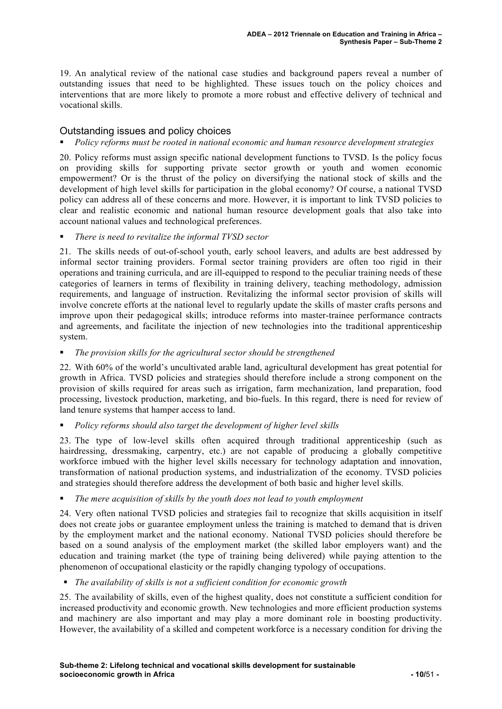19. An analytical review of the national case studies and background papers reveal a number of outstanding issues that need to be highlighted. These issues touch on the policy choices and interventions that are more likely to promote a more robust and effective delivery of technical and vocational skills.

#### Outstanding issues and policy choices

#### *Policy reforms must be rooted in national economic and human resource development strategies*

20. Policy reforms must assign specific national development functions to TVSD. Is the policy focus on providing skills for supporting private sector growth or youth and women economic empowerment? Or is the thrust of the policy on diversifying the national stock of skills and the development of high level skills for participation in the global economy? Of course, a national TVSD policy can address all of these concerns and more. However, it is important to link TVSD policies to clear and realistic economic and national human resource development goals that also take into account national values and technological preferences.

#### *There is need to revitalize the informal TVSD sector*

21. The skills needs of out-of-school youth, early school leavers, and adults are best addressed by informal sector training providers. Formal sector training providers are often too rigid in their operations and training curricula, and are ill-equipped to respond to the peculiar training needs of these categories of learners in terms of flexibility in training delivery, teaching methodology, admission requirements, and language of instruction. Revitalizing the informal sector provision of skills will involve concrete efforts at the national level to regularly update the skills of master crafts persons and improve upon their pedagogical skills; introduce reforms into master-trainee performance contracts and agreements, and facilitate the injection of new technologies into the traditional apprenticeship system.

#### *The provision skills for the agricultural sector should be strengthened*

22. With 60% of the world's uncultivated arable land, agricultural development has great potential for growth in Africa. TVSD policies and strategies should therefore include a strong component on the provision of skills required for areas such as irrigation, farm mechanization, land preparation, food processing, livestock production, marketing, and bio-fuels. In this regard, there is need for review of land tenure systems that hamper access to land.

#### *Policy reforms should also target the development of higher level skills*

23. The type of low-level skills often acquired through traditional apprenticeship (such as hairdressing, dressmaking, carpentry, etc.) are not capable of producing a globally competitive workforce imbued with the higher level skills necessary for technology adaptation and innovation, transformation of national production systems, and industrialization of the economy. TVSD policies and strategies should therefore address the development of both basic and higher level skills.

#### *The mere acquisition of skills by the youth does not lead to youth employment*

24. Very often national TVSD policies and strategies fail to recognize that skills acquisition in itself does not create jobs or guarantee employment unless the training is matched to demand that is driven by the employment market and the national economy. National TVSD policies should therefore be based on a sound analysis of the employment market (the skilled labor employers want) and the education and training market (the type of training being delivered) while paying attention to the phenomenon of occupational elasticity or the rapidly changing typology of occupations.

*The availability of skills is not a sufficient condition for economic growth*

25. The availability of skills, even of the highest quality, does not constitute a sufficient condition for increased productivity and economic growth. New technologies and more efficient production systems and machinery are also important and may play a more dominant role in boosting productivity. However, the availability of a skilled and competent workforce is a necessary condition for driving the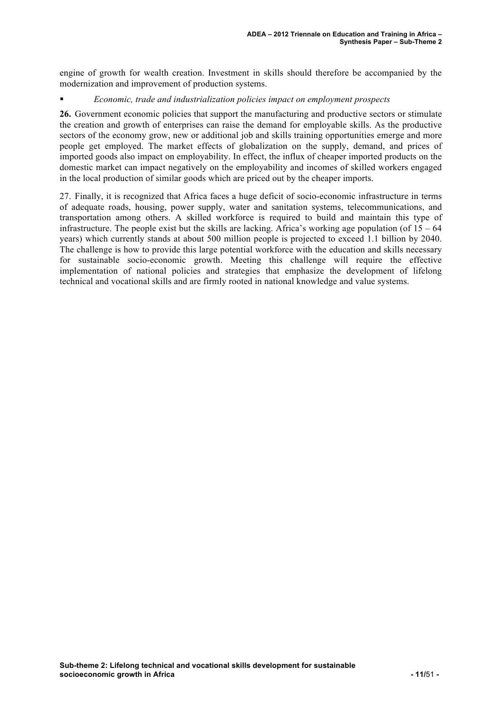engine of growth for wealth creation. Investment in skills should therefore be accompanied by the modernization and improvement of production systems.

#### *Economic, trade and industrialization policies impact on employment prospects*

**26.** Government economic policies that support the manufacturing and productive sectors or stimulate the creation and growth of enterprises can raise the demand for employable skills. As the productive sectors of the economy grow, new or additional job and skills training opportunities emerge and more people get employed. The market effects of globalization on the supply, demand, and prices of imported goods also impact on employability. In effect, the influx of cheaper imported products on the domestic market can impact negatively on the employability and incomes of skilled workers engaged in the local production of similar goods which are priced out by the cheaper imports.

27. Finally, it is recognized that Africa faces a huge deficit of socio-economic infrastructure in terms of adequate roads, housing, power supply, water and sanitation systems, telecommunications, and transportation among others. A skilled workforce is required to build and maintain this type of infrastructure. The people exist but the skills are lacking. Africa's working age population (of  $15 - 64$ ) years) which currently stands at about 500 million people is projected to exceed 1.1 billion by 2040. The challenge is how to provide this large potential workforce with the education and skills necessary for sustainable socio-economic growth. Meeting this challenge will require the effective implementation of national policies and strategies that emphasize the development of lifelong technical and vocational skills and are firmly rooted in national knowledge and value systems.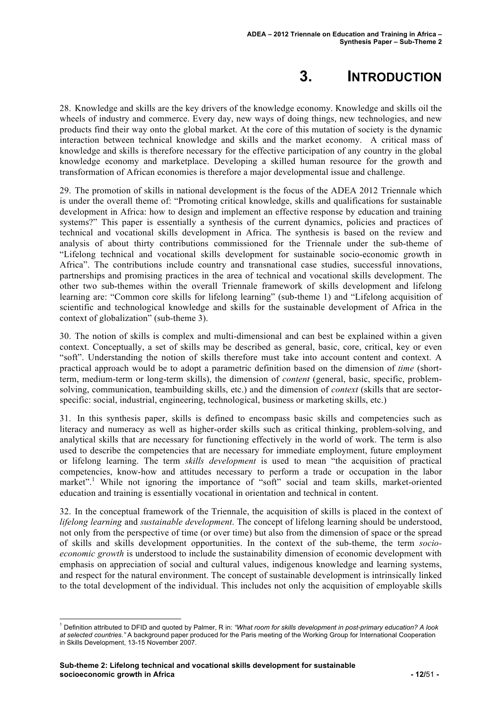# **3. INTRODUCTION**

28. Knowledge and skills are the key drivers of the knowledge economy. Knowledge and skills oil the wheels of industry and commerce. Every day, new ways of doing things, new technologies, and new products find their way onto the global market. At the core of this mutation of society is the dynamic interaction between technical knowledge and skills and the market economy. A critical mass of knowledge and skills is therefore necessary for the effective participation of any country in the global knowledge economy and marketplace. Developing a skilled human resource for the growth and transformation of African economies is therefore a major developmental issue and challenge.

29. The promotion of skills in national development is the focus of the ADEA 2012 Triennale which is under the overall theme of: "Promoting critical knowledge, skills and qualifications for sustainable development in Africa: how to design and implement an effective response by education and training systems?" This paper is essentially a synthesis of the current dynamics, policies and practices of technical and vocational skills development in Africa. The synthesis is based on the review and analysis of about thirty contributions commissioned for the Triennale under the sub-theme of "Lifelong technical and vocational skills development for sustainable socio-economic growth in Africa". The contributions include country and transnational case studies, successful innovations, partnerships and promising practices in the area of technical and vocational skills development. The other two sub-themes within the overall Triennale framework of skills development and lifelong learning are: "Common core skills for lifelong learning" (sub-theme 1) and "Lifelong acquisition of scientific and technological knowledge and skills for the sustainable development of Africa in the context of globalization" (sub-theme 3).

30. The notion of skills is complex and multi-dimensional and can best be explained within a given context. Conceptually, a set of skills may be described as general, basic, core, critical, key or even "soft". Understanding the notion of skills therefore must take into account content and context. A practical approach would be to adopt a parametric definition based on the dimension of *time* (shortterm, medium-term or long-term skills), the dimension of *content* (general, basic, specific, problemsolving, communication, teambuilding skills, etc.) and the dimension of *context* (skills that are sectorspecific: social, industrial, engineering, technological, business or marketing skills, etc.)

31. In this synthesis paper, skills is defined to encompass basic skills and competencies such as literacy and numeracy as well as higher-order skills such as critical thinking, problem-solving, and analytical skills that are necessary for functioning effectively in the world of work. The term is also used to describe the competencies that are necessary for immediate employment, future employment or lifelong learning. The term *skills development* is used to mean "the acquisition of practical competencies, know-how and attitudes necessary to perform a trade or occupation in the labor market".<sup>1</sup> While not ignoring the importance of "soft" social and team skills, market-oriented education and training is essentially vocational in orientation and technical in content.

32. In the conceptual framework of the Triennale, the acquisition of skills is placed in the context of *lifelong learning* and *sustainable development*. The concept of lifelong learning should be understood, not only from the perspective of time (or over time) but also from the dimension of space or the spread of skills and skills development opportunities. In the context of the sub-theme, the term *socioeconomic growth* is understood to include the sustainability dimension of economic development with emphasis on appreciation of social and cultural values, indigenous knowledge and learning systems, and respect for the natural environment. The concept of sustainable development is intrinsically linked to the total development of the individual. This includes not only the acquisition of employable skills

 <sup>1</sup> Definition attributed to DFID and quoted by Palmer, R in: *"What room for skills development in post-primary education? A look at selected countries."* A background paper produced for the Paris meeting of the Working Group for International Cooperation in Skills Development, 13-15 November 2007.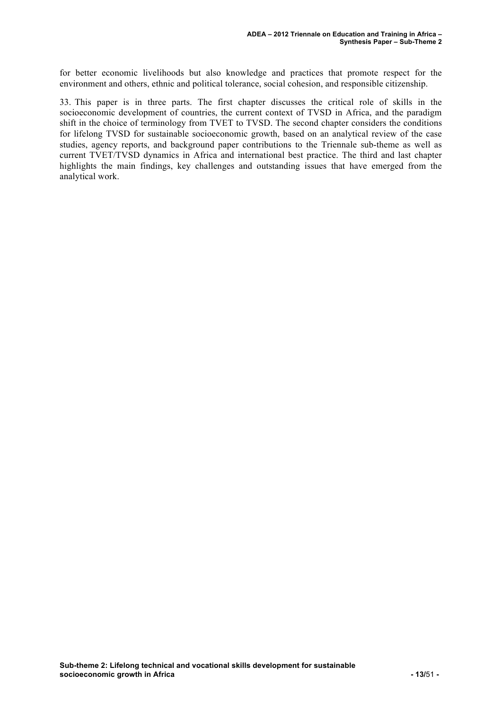for better economic livelihoods but also knowledge and practices that promote respect for the environment and others, ethnic and political tolerance, social cohesion, and responsible citizenship.

33. This paper is in three parts. The first chapter discusses the critical role of skills in the socioeconomic development of countries, the current context of TVSD in Africa, and the paradigm shift in the choice of terminology from TVET to TVSD. The second chapter considers the conditions for lifelong TVSD for sustainable socioeconomic growth, based on an analytical review of the case studies, agency reports, and background paper contributions to the Triennale sub-theme as well as current TVET/TVSD dynamics in Africa and international best practice. The third and last chapter highlights the main findings, key challenges and outstanding issues that have emerged from the analytical work.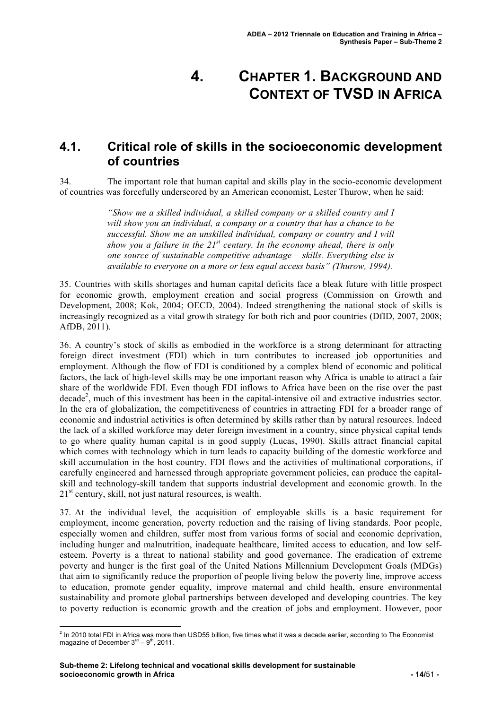# **4. CHAPTER 1. BACKGROUND AND CONTEXT OF TVSD IN AFRICA**

# **4.1. Critical role of skills in the socioeconomic development of countries**

34. The important role that human capital and skills play in the socio-economic development of countries was forcefully underscored by an American economist, Lester Thurow, when he said:

> *"Show me a skilled individual, a skilled company or a skilled country and I will show you an individual, a company or a country that has a chance to be successful. Show me an unskilled individual, company or country and I will show you a failure in the 21st century. In the economy ahead, there is only one source of sustainable competitive advantage – skills. Everything else is available to everyone on a more or less equal access basis" (Thurow, 1994).*

35. Countries with skills shortages and human capital deficits face a bleak future with little prospect for economic growth, employment creation and social progress (Commission on Growth and Development, 2008; Kok, 2004; OECD, 2004). Indeed strengthening the national stock of skills is increasingly recognized as a vital growth strategy for both rich and poor countries (DfID, 2007, 2008; AfDB, 2011).

36. A country's stock of skills as embodied in the workforce is a strong determinant for attracting foreign direct investment (FDI) which in turn contributes to increased job opportunities and employment. Although the flow of FDI is conditioned by a complex blend of economic and political factors, the lack of high-level skills may be one important reason why Africa is unable to attract a fair share of the worldwide FDI. Even though FDI inflows to Africa have been on the rise over the past decade<sup>2</sup>, much of this investment has been in the capital-intensive oil and extractive industries sector. In the era of globalization, the competitiveness of countries in attracting FDI for a broader range of economic and industrial activities is often determined by skills rather than by natural resources. Indeed the lack of a skilled workforce may deter foreign investment in a country, since physical capital tends to go where quality human capital is in good supply (Lucas, 1990). Skills attract financial capital which comes with technology which in turn leads to capacity building of the domestic workforce and skill accumulation in the host country. FDI flows and the activities of multinational corporations, if carefully engineered and harnessed through appropriate government policies, can produce the capitalskill and technology-skill tandem that supports industrial development and economic growth. In the  $21<sup>st</sup>$  century, skill, not just natural resources, is wealth.

37. At the individual level, the acquisition of employable skills is a basic requirement for employment, income generation, poverty reduction and the raising of living standards. Poor people, especially women and children, suffer most from various forms of social and economic deprivation, including hunger and malnutrition, inadequate healthcare, limited access to education, and low selfesteem. Poverty is a threat to national stability and good governance. The eradication of extreme poverty and hunger is the first goal of the United Nations Millennium Development Goals (MDGs) that aim to significantly reduce the proportion of people living below the poverty line, improve access to education, promote gender equality, improve maternal and child health, ensure environmental sustainability and promote global partnerships between developed and developing countries. The key to poverty reduction is economic growth and the creation of jobs and employment. However, poor

 $^2$  In 2010 total FDI in Africa was more than USD55 billion, five times what it was a decade earlier, according to The Economist magazine of December  $3<sup>rd</sup> - 9<sup>th</sup>$ , 2011.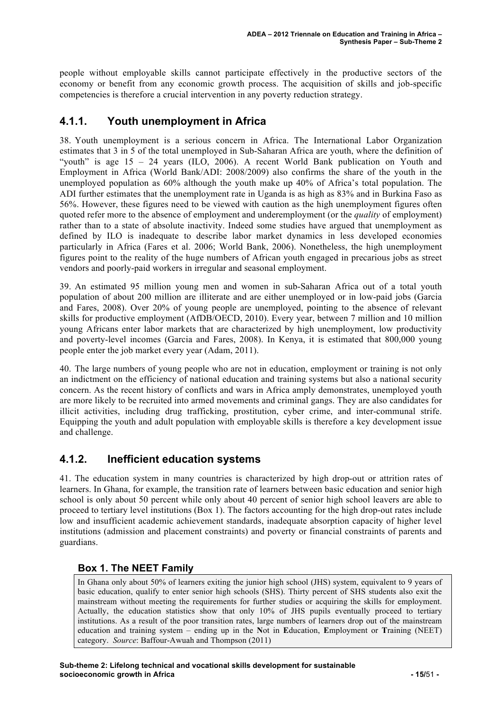people without employable skills cannot participate effectively in the productive sectors of the economy or benefit from any economic growth process. The acquisition of skills and job-specific competencies is therefore a crucial intervention in any poverty reduction strategy.

### **4.1.1. Youth unemployment in Africa**

38. Youth unemployment is a serious concern in Africa. The International Labor Organization estimates that 3 in 5 of the total unemployed in Sub-Saharan Africa are youth, where the definition of "youth" is age  $15 - 24$  years (ILO, 2006). A recent World Bank publication on Youth and Employment in Africa (World Bank/ADI: 2008/2009) also confirms the share of the youth in the unemployed population as 60% although the youth make up 40% of Africa's total population. The ADI further estimates that the unemployment rate in Uganda is as high as 83% and in Burkina Faso as 56%. However, these figures need to be viewed with caution as the high unemployment figures often quoted refer more to the absence of employment and underemployment (or the *quality* of employment) rather than to a state of absolute inactivity. Indeed some studies have argued that unemployment as defined by ILO is inadequate to describe labor market dynamics in less developed economies particularly in Africa (Fares et al. 2006; World Bank, 2006). Nonetheless, the high unemployment figures point to the reality of the huge numbers of African youth engaged in precarious jobs as street vendors and poorly-paid workers in irregular and seasonal employment.

39. An estimated 95 million young men and women in sub-Saharan Africa out of a total youth population of about 200 million are illiterate and are either unemployed or in low-paid jobs (Garcia and Fares, 2008). Over 20% of young people are unemployed, pointing to the absence of relevant skills for productive employment (AfDB/OECD, 2010). Every year, between 7 million and 10 million young Africans enter labor markets that are characterized by high unemployment, low productivity and poverty-level incomes (Garcia and Fares, 2008). In Kenya, it is estimated that 800,000 young people enter the job market every year (Adam, 2011).

40. The large numbers of young people who are not in education, employment or training is not only an indictment on the efficiency of national education and training systems but also a national security concern. As the recent history of conflicts and wars in Africa amply demonstrates, unemployed youth are more likely to be recruited into armed movements and criminal gangs. They are also candidates for illicit activities, including drug trafficking, prostitution, cyber crime, and inter-communal strife. Equipping the youth and adult population with employable skills is therefore a key development issue and challenge.

### **4.1.2. Inefficient education systems**

41. The education system in many countries is characterized by high drop-out or attrition rates of learners. In Ghana, for example, the transition rate of learners between basic education and senior high school is only about 50 percent while only about 40 percent of senior high school leavers are able to proceed to tertiary level institutions (Box 1). The factors accounting for the high drop-out rates include low and insufficient academic achievement standards, inadequate absorption capacity of higher level institutions (admission and placement constraints) and poverty or financial constraints of parents and guardians.

#### **Box 1. The NEET Family**

In Ghana only about 50% of learners exiting the junior high school (JHS) system, equivalent to 9 years of basic education, qualify to enter senior high schools (SHS). Thirty percent of SHS students also exit the mainstream without meeting the requirements for further studies or acquiring the skills for employment. Actually, the education statistics show that only 10% of JHS pupils eventually proceed to tertiary institutions. As a result of the poor transition rates, large numbers of learners drop out of the mainstream education and training system – ending up in the **N**ot in **E**ducation, **E**mployment or **T**raining (NEET) category. *Source*: Baffour-Awuah and Thompson (2011)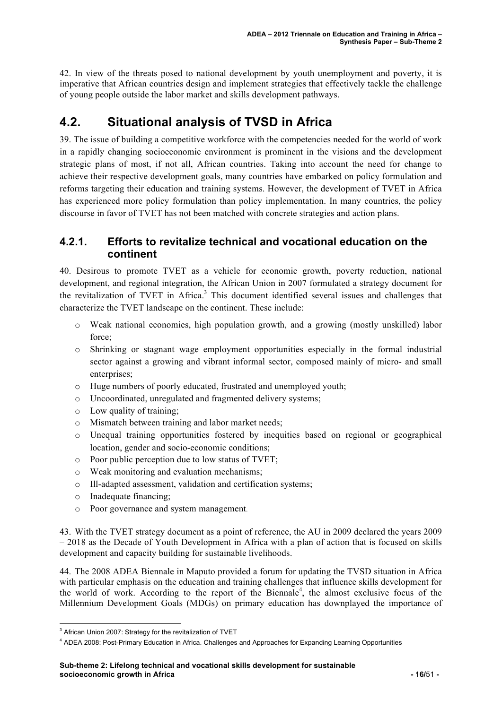42. In view of the threats posed to national development by youth unemployment and poverty, it is imperative that African countries design and implement strategies that effectively tackle the challenge of young people outside the labor market and skills development pathways.

# **4.2. Situational analysis of TVSD in Africa**

39. The issue of building a competitive workforce with the competencies needed for the world of work in a rapidly changing socioeconomic environment is prominent in the visions and the development strategic plans of most, if not all, African countries. Taking into account the need for change to achieve their respective development goals, many countries have embarked on policy formulation and reforms targeting their education and training systems. However, the development of TVET in Africa has experienced more policy formulation than policy implementation. In many countries, the policy discourse in favor of TVET has not been matched with concrete strategies and action plans.

#### **4.2.1. Efforts to revitalize technical and vocational education on the continent**

40. Desirous to promote TVET as a vehicle for economic growth, poverty reduction, national development, and regional integration, the African Union in 2007 formulated a strategy document for the revitalization of TVET in Africa.<sup>3</sup> This document identified several issues and challenges that characterize the TVET landscape on the continent. These include:

- o Weak national economies, high population growth, and a growing (mostly unskilled) labor force;
- o Shrinking or stagnant wage employment opportunities especially in the formal industrial sector against a growing and vibrant informal sector, composed mainly of micro- and small enterprises;
- o Huge numbers of poorly educated, frustrated and unemployed youth;
- o Uncoordinated, unregulated and fragmented delivery systems;
- o Low quality of training;
- o Mismatch between training and labor market needs;
- o Unequal training opportunities fostered by inequities based on regional or geographical location, gender and socio-economic conditions;
- o Poor public perception due to low status of TVET;
- o Weak monitoring and evaluation mechanisms;
- o Ill-adapted assessment, validation and certification systems;
- o Inadequate financing;
- o Poor governance and system management.

43. With the TVET strategy document as a point of reference, the AU in 2009 declared the years 2009 – 2018 as the Decade of Youth Development in Africa with a plan of action that is focused on skills development and capacity building for sustainable livelihoods.

44. The 2008 ADEA Biennale in Maputo provided a forum for updating the TVSD situation in Africa with particular emphasis on the education and training challenges that influence skills development for the world of work. According to the report of the Biennale<sup>4</sup>, the almost exclusive focus of the Millennium Development Goals (MDGs) on primary education has downplayed the importance of

 <sup>3</sup> African Union 2007: Strategy for the revitalization of TVET

<sup>4</sup> ADEA 2008: Post-Primary Education in Africa. Challenges and Approaches for Expanding Learning Opportunities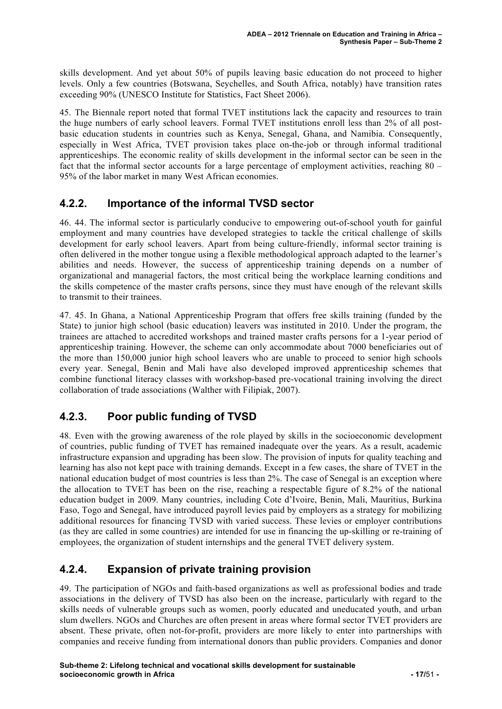skills development. And yet about 50% of pupils leaving basic education do not proceed to higher levels. Only a few countries (Botswana, Seychelles, and South Africa, notably) have transition rates exceeding 90% (UNESCO Institute for Statistics, Fact Sheet 2006).

45. The Biennale report noted that formal TVET institutions lack the capacity and resources to train the huge numbers of early school leavers. Formal TVET institutions enroll less than 2% of all postbasic education students in countries such as Kenya, Senegal, Ghana, and Namibia. Consequently, especially in West Africa, TVET provision takes place on-the-job or through informal traditional apprenticeships. The economic reality of skills development in the informal sector can be seen in the fact that the informal sector accounts for a large percentage of employment activities, reaching 80 – 95% of the labor market in many West African economies.

### **4.2.2. Importance of the informal TVSD sector**

46. 44. The informal sector is particularly conducive to empowering out-of-school youth for gainful employment and many countries have developed strategies to tackle the critical challenge of skills development for early school leavers. Apart from being culture-friendly, informal sector training is often delivered in the mother tongue using a flexible methodological approach adapted to the learner's abilities and needs. However, the success of apprenticeship training depends on a number of organizational and managerial factors, the most critical being the workplace learning conditions and the skills competence of the master crafts persons, since they must have enough of the relevant skills to transmit to their trainees.

47. 45. In Ghana, a National Apprenticeship Program that offers free skills training (funded by the State) to junior high school (basic education) leavers was instituted in 2010. Under the program, the trainees are attached to accredited workshops and trained master crafts persons for a 1-year period of apprenticeship training. However, the scheme can only accommodate about 7000 beneficiaries out of the more than 150,000 junior high school leavers who are unable to proceed to senior high schools every year. Senegal, Benin and Mali have also developed improved apprenticeship schemes that combine functional literacy classes with workshop-based pre-vocational training involving the direct collaboration of trade associations (Walther with Filipiak, 2007).

# **4.2.3. Poor public funding of TVSD**

48. Even with the growing awareness of the role played by skills in the socioeconomic development of countries, public funding of TVET has remained inadequate over the years. As a result, academic infrastructure expansion and upgrading has been slow. The provision of inputs for quality teaching and learning has also not kept pace with training demands. Except in a few cases, the share of TVET in the national education budget of most countries is less than 2%. The case of Senegal is an exception where the allocation to TVET has been on the rise, reaching a respectable figure of 8.2% of the national education budget in 2009. Many countries, including Cote d'Ivoire, Benin, Mali, Mauritius, Burkina Faso, Togo and Senegal, have introduced payroll levies paid by employers as a strategy for mobilizing additional resources for financing TVSD with varied success. These levies or employer contributions (as they are called in some countries) are intended for use in financing the up-skilling or re-training of employees, the organization of student internships and the general TVET delivery system.

### **4.2.4. Expansion of private training provision**

49. The participation of NGOs and faith-based organizations as well as professional bodies and trade associations in the delivery of TVSD has also been on the increase, particularly with regard to the skills needs of vulnerable groups such as women, poorly educated and uneducated youth, and urban slum dwellers. NGOs and Churches are often present in areas where formal sector TVET providers are absent. These private, often not-for-profit, providers are more likely to enter into partnerships with companies and receive funding from international donors than public providers. Companies and donor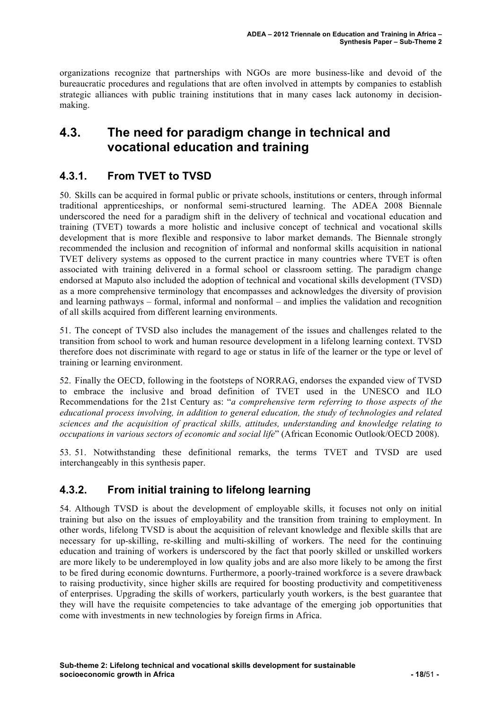organizations recognize that partnerships with NGOs are more business-like and devoid of the bureaucratic procedures and regulations that are often involved in attempts by companies to establish strategic alliances with public training institutions that in many cases lack autonomy in decisionmaking.

# **4.3. The need for paradigm change in technical and vocational education and training**

## **4.3.1. From TVET to TVSD**

50. Skills can be acquired in formal public or private schools, institutions or centers, through informal traditional apprenticeships, or nonformal semi-structured learning. The ADEA 2008 Biennale underscored the need for a paradigm shift in the delivery of technical and vocational education and training (TVET) towards a more holistic and inclusive concept of technical and vocational skills development that is more flexible and responsive to labor market demands. The Biennale strongly recommended the inclusion and recognition of informal and nonformal skills acquisition in national TVET delivery systems as opposed to the current practice in many countries where TVET is often associated with training delivered in a formal school or classroom setting. The paradigm change endorsed at Maputo also included the adoption of technical and vocational skills development (TVSD) as a more comprehensive terminology that encompasses and acknowledges the diversity of provision and learning pathways – formal, informal and nonformal – and implies the validation and recognition of all skills acquired from different learning environments.

51. The concept of TVSD also includes the management of the issues and challenges related to the transition from school to work and human resource development in a lifelong learning context. TVSD therefore does not discriminate with regard to age or status in life of the learner or the type or level of training or learning environment.

52. Finally the OECD, following in the footsteps of NORRAG, endorses the expanded view of TVSD to embrace the inclusive and broad definition of TVET used in the UNESCO and ILO Recommendations for the 21st Century as: "*a comprehensive term referring to those aspects of the educational process involving, in addition to general education, the study of technologies and related sciences and the acquisition of practical skills, attitudes, understanding and knowledge relating to occupations in various sectors of economic and social life*" (African Economic Outlook/OECD 2008).

53. 51. Notwithstanding these definitional remarks, the terms TVET and TVSD are used interchangeably in this synthesis paper.

### **4.3.2. From initial training to lifelong learning**

54. Although TVSD is about the development of employable skills, it focuses not only on initial training but also on the issues of employability and the transition from training to employment. In other words, lifelong TVSD is about the acquisition of relevant knowledge and flexible skills that are necessary for up-skilling, re-skilling and multi-skilling of workers. The need for the continuing education and training of workers is underscored by the fact that poorly skilled or unskilled workers are more likely to be underemployed in low quality jobs and are also more likely to be among the first to be fired during economic downturns. Furthermore, a poorly-trained workforce is a severe drawback to raising productivity, since higher skills are required for boosting productivity and competitiveness of enterprises. Upgrading the skills of workers, particularly youth workers, is the best guarantee that they will have the requisite competencies to take advantage of the emerging job opportunities that come with investments in new technologies by foreign firms in Africa.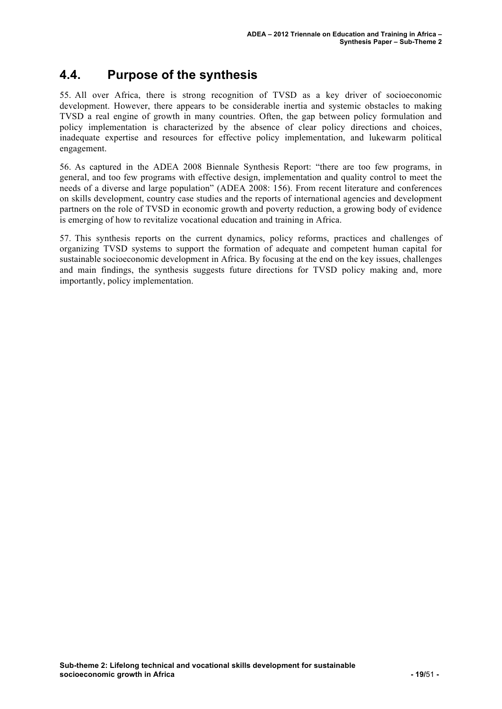# **4.4. Purpose of the synthesis**

55. All over Africa, there is strong recognition of TVSD as a key driver of socioeconomic development. However, there appears to be considerable inertia and systemic obstacles to making TVSD a real engine of growth in many countries. Often, the gap between policy formulation and policy implementation is characterized by the absence of clear policy directions and choices, inadequate expertise and resources for effective policy implementation, and lukewarm political engagement.

56. As captured in the ADEA 2008 Biennale Synthesis Report: "there are too few programs, in general, and too few programs with effective design, implementation and quality control to meet the needs of a diverse and large population" (ADEA 2008: 156). From recent literature and conferences on skills development, country case studies and the reports of international agencies and development partners on the role of TVSD in economic growth and poverty reduction, a growing body of evidence is emerging of how to revitalize vocational education and training in Africa.

57. This synthesis reports on the current dynamics, policy reforms, practices and challenges of organizing TVSD systems to support the formation of adequate and competent human capital for sustainable socioeconomic development in Africa. By focusing at the end on the key issues, challenges and main findings, the synthesis suggests future directions for TVSD policy making and, more importantly, policy implementation.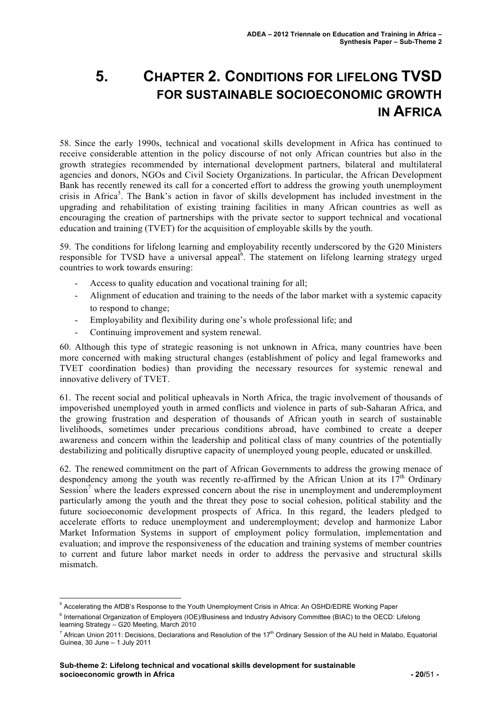# **5. CHAPTER 2. CONDITIONS FOR LIFELONG TVSD FOR SUSTAINABLE SOCIOECONOMIC GROWTH IN AFRICA**

58. Since the early 1990s, technical and vocational skills development in Africa has continued to receive considerable attention in the policy discourse of not only African countries but also in the growth strategies recommended by international development partners, bilateral and multilateral agencies and donors, NGOs and Civil Society Organizations. In particular, the African Development Bank has recently renewed its call for a concerted effort to address the growing youth unemployment crisis in Africa<sup>5</sup>. The Bank's action in favor of skills development has included investment in the upgrading and rehabilitation of existing training facilities in many African countries as well as encouraging the creation of partnerships with the private sector to support technical and vocational education and training (TVET) for the acquisition of employable skills by the youth.

59. The conditions for lifelong learning and employability recently underscored by the G20 Ministers responsible for TVSD have a universal appeal<sup>6</sup>. The statement on lifelong learning strategy urged countries to work towards ensuring:

- Access to quality education and vocational training for all;
- Alignment of education and training to the needs of the labor market with a systemic capacity to respond to change;
- Employability and flexibility during one's whole professional life; and
- Continuing improvement and system renewal.

60. Although this type of strategic reasoning is not unknown in Africa, many countries have been more concerned with making structural changes (establishment of policy and legal frameworks and TVET coordination bodies) than providing the necessary resources for systemic renewal and innovative delivery of TVET.

61. The recent social and political upheavals in North Africa, the tragic involvement of thousands of impoverished unemployed youth in armed conflicts and violence in parts of sub-Saharan Africa, and the growing frustration and desperation of thousands of African youth in search of sustainable livelihoods, sometimes under precarious conditions abroad, have combined to create a deeper awareness and concern within the leadership and political class of many countries of the potentially destabilizing and politically disruptive capacity of unemployed young people, educated or unskilled.

62. The renewed commitment on the part of African Governments to address the growing menace of despondency among the youth was recently re-affirmed by the African Union at its  $17<sup>th</sup>$  Ordinary Session<sup>7</sup> where the leaders expressed concern about the rise in unemployment and underemployment particularly among the youth and the threat they pose to social cohesion, political stability and the future socioeconomic development prospects of Africa. In this regard, the leaders pledged to accelerate efforts to reduce unemployment and underemployment; develop and harmonize Labor Market Information Systems in support of employment policy formulation, implementation and evaluation; and improve the responsiveness of the education and training systems of member countries to current and future labor market needs in order to address the pervasive and structural skills mismatch.

 <sup>5</sup> Accelerating the AfDB's Response to the Youth Unemployment Crisis in Africa: An OSHD/EDRE Working Paper

<sup>&</sup>lt;sup>6</sup> International Organization of Employers (IOE)/Business and Industry Advisory Committee (BIAC) to the OECD: Lifelong learning Strategy – G20 Meeting, March 2010

 $^7$  African Union 2011: Decisions, Declarations and Resolution of the 17<sup>th</sup> Ordinary Session of the AU held in Malabo, Equatorial Guinea, 30 June – 1 July 2011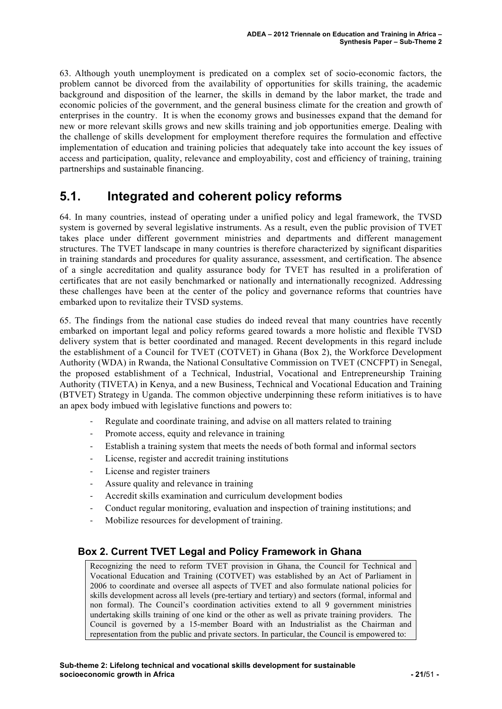63. Although youth unemployment is predicated on a complex set of socio-economic factors, the problem cannot be divorced from the availability of opportunities for skills training, the academic background and disposition of the learner, the skills in demand by the labor market, the trade and economic policies of the government, and the general business climate for the creation and growth of enterprises in the country. It is when the economy grows and businesses expand that the demand for new or more relevant skills grows and new skills training and job opportunities emerge. Dealing with the challenge of skills development for employment therefore requires the formulation and effective implementation of education and training policies that adequately take into account the key issues of access and participation, quality, relevance and employability, cost and efficiency of training, training partnerships and sustainable financing.

# **5.1. Integrated and coherent policy reforms**

64. In many countries, instead of operating under a unified policy and legal framework, the TVSD system is governed by several legislative instruments. As a result, even the public provision of TVET takes place under different government ministries and departments and different management structures. The TVET landscape in many countries is therefore characterized by significant disparities in training standards and procedures for quality assurance, assessment, and certification. The absence of a single accreditation and quality assurance body for TVET has resulted in a proliferation of certificates that are not easily benchmarked or nationally and internationally recognized. Addressing these challenges have been at the center of the policy and governance reforms that countries have embarked upon to revitalize their TVSD systems.

65. The findings from the national case studies do indeed reveal that many countries have recently embarked on important legal and policy reforms geared towards a more holistic and flexible TVSD delivery system that is better coordinated and managed. Recent developments in this regard include the establishment of a Council for TVET (COTVET) in Ghana (Box 2), the Workforce Development Authority (WDA) in Rwanda, the National Consultative Commission on TVET (CNCFPT) in Senegal, the proposed establishment of a Technical, Industrial, Vocational and Entrepreneurship Training Authority (TIVETA) in Kenya, and a new Business, Technical and Vocational Education and Training (BTVET) Strategy in Uganda. The common objective underpinning these reform initiatives is to have an apex body imbued with legislative functions and powers to:

- Regulate and coordinate training, and advise on all matters related to training
- Promote access, equity and relevance in training
- Establish a training system that meets the needs of both formal and informal sectors
- ! License, register and accredit training institutions
- License and register trainers
- Assure quality and relevance in training
- ! Accredit skills examination and curriculum development bodies
- ! Conduct regular monitoring, evaluation and inspection of training institutions; and
- ! Mobilize resources for development of training.

#### **Box 2. Current TVET Legal and Policy Framework in Ghana**

Recognizing the need to reform TVET provision in Ghana, the Council for Technical and Vocational Education and Training (COTVET) was established by an Act of Parliament in 2006 to coordinate and oversee all aspects of TVET and also formulate national policies for skills development across all levels (pre-tertiary and tertiary) and sectors (formal, informal and non formal). The Council's coordination activities extend to all 9 government ministries undertaking skills training of one kind or the other as well as private training providers. The Council is governed by a 15-member Board with an Industrialist as the Chairman and representation from the public and private sectors. In particular, the Council is empowered to: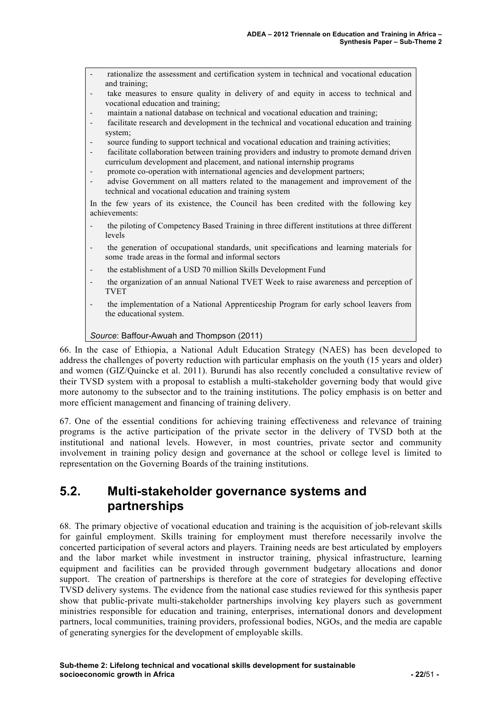- ! rationalize the assessment and certification system in technical and vocational education and training;
- take measures to ensure quality in delivery of and equity in access to technical and vocational education and training;
- ! maintain a national database on technical and vocational education and training;
- ! facilitate research and development in the technical and vocational education and training system;
- source funding to support technical and vocational education and training activities;
- facilitate collaboration between training providers and industry to promote demand driven curriculum development and placement, and national internship programs
- promote co-operation with international agencies and development partners;
- ! advise Government on all matters related to the management and improvement of the technical and vocational education and training system

In the few years of its existence, the Council has been credited with the following key achievements:

- the piloting of Competency Based Training in three different institutions at three different levels
- ! the generation of occupational standards, unit specifications and learning materials for some trade areas in the formal and informal sectors
- ! the establishment of a USD 70 million Skills Development Fund
- ! the organization of an annual National TVET Week to raise awareness and perception of TVET
- ! the implementation of a National Apprenticeship Program for early school leavers from the educational system.

#### *Source*: Baffour-Awuah and Thompson (2011)

66. In the case of Ethiopia, a National Adult Education Strategy (NAES) has been developed to address the challenges of poverty reduction with particular emphasis on the youth (15 years and older) and women (GIZ/Quincke et al. 2011). Burundi has also recently concluded a consultative review of their TVSD system with a proposal to establish a multi-stakeholder governing body that would give more autonomy to the subsector and to the training institutions. The policy emphasis is on better and more efficient management and financing of training delivery.

67. One of the essential conditions for achieving training effectiveness and relevance of training programs is the active participation of the private sector in the delivery of TVSD both at the institutional and national levels. However, in most countries, private sector and community involvement in training policy design and governance at the school or college level is limited to representation on the Governing Boards of the training institutions.

# **5.2. Multi-stakeholder governance systems and partnerships**

68. The primary objective of vocational education and training is the acquisition of job-relevant skills for gainful employment. Skills training for employment must therefore necessarily involve the concerted participation of several actors and players. Training needs are best articulated by employers and the labor market while investment in instructor training, physical infrastructure, learning equipment and facilities can be provided through government budgetary allocations and donor support. The creation of partnerships is therefore at the core of strategies for developing effective TVSD delivery systems. The evidence from the national case studies reviewed for this synthesis paper show that public-private multi-stakeholder partnerships involving key players such as government ministries responsible for education and training, enterprises, international donors and development partners, local communities, training providers, professional bodies, NGOs, and the media are capable of generating synergies for the development of employable skills.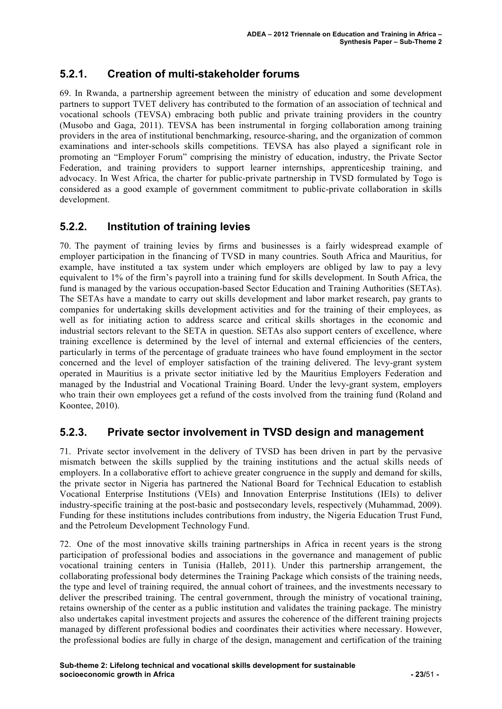## **5.2.1. Creation of multi-stakeholder forums**

69. In Rwanda, a partnership agreement between the ministry of education and some development partners to support TVET delivery has contributed to the formation of an association of technical and vocational schools (TEVSA) embracing both public and private training providers in the country (Musobo and Gaga, 2011). TEVSA has been instrumental in forging collaboration among training providers in the area of institutional benchmarking, resource-sharing, and the organization of common examinations and inter-schools skills competitions. TEVSA has also played a significant role in promoting an "Employer Forum" comprising the ministry of education, industry, the Private Sector Federation, and training providers to support learner internships, apprenticeship training, and advocacy. In West Africa, the charter for public-private partnership in TVSD formulated by Togo is considered as a good example of government commitment to public-private collaboration in skills development.

### **5.2.2. Institution of training levies**

70. The payment of training levies by firms and businesses is a fairly widespread example of employer participation in the financing of TVSD in many countries. South Africa and Mauritius, for example, have instituted a tax system under which employers are obliged by law to pay a levy equivalent to 1% of the firm's payroll into a training fund for skills development. In South Africa, the fund is managed by the various occupation-based Sector Education and Training Authorities (SETAs). The SETAs have a mandate to carry out skills development and labor market research, pay grants to companies for undertaking skills development activities and for the training of their employees, as well as for initiating action to address scarce and critical skills shortages in the economic and industrial sectors relevant to the SETA in question. SETAs also support centers of excellence, where training excellence is determined by the level of internal and external efficiencies of the centers, particularly in terms of the percentage of graduate trainees who have found employment in the sector concerned and the level of employer satisfaction of the training delivered. The levy-grant system operated in Mauritius is a private sector initiative led by the Mauritius Employers Federation and managed by the Industrial and Vocational Training Board. Under the levy-grant system, employers who train their own employees get a refund of the costs involved from the training fund (Roland and Koontee, 2010).

### **5.2.3. Private sector involvement in TVSD design and management**

71. Private sector involvement in the delivery of TVSD has been driven in part by the pervasive mismatch between the skills supplied by the training institutions and the actual skills needs of employers. In a collaborative effort to achieve greater congruence in the supply and demand for skills, the private sector in Nigeria has partnered the National Board for Technical Education to establish Vocational Enterprise Institutions (VEIs) and Innovation Enterprise Institutions (IEIs) to deliver industry-specific training at the post-basic and postsecondary levels, respectively (Muhammad, 2009). Funding for these institutions includes contributions from industry, the Nigeria Education Trust Fund, and the Petroleum Development Technology Fund.

72. One of the most innovative skills training partnerships in Africa in recent years is the strong participation of professional bodies and associations in the governance and management of public vocational training centers in Tunisia (Halleb, 2011). Under this partnership arrangement, the collaborating professional body determines the Training Package which consists of the training needs, the type and level of training required, the annual cohort of trainees, and the investments necessary to deliver the prescribed training. The central government, through the ministry of vocational training, retains ownership of the center as a public institution and validates the training package. The ministry also undertakes capital investment projects and assures the coherence of the different training projects managed by different professional bodies and coordinates their activities where necessary. However, the professional bodies are fully in charge of the design, management and certification of the training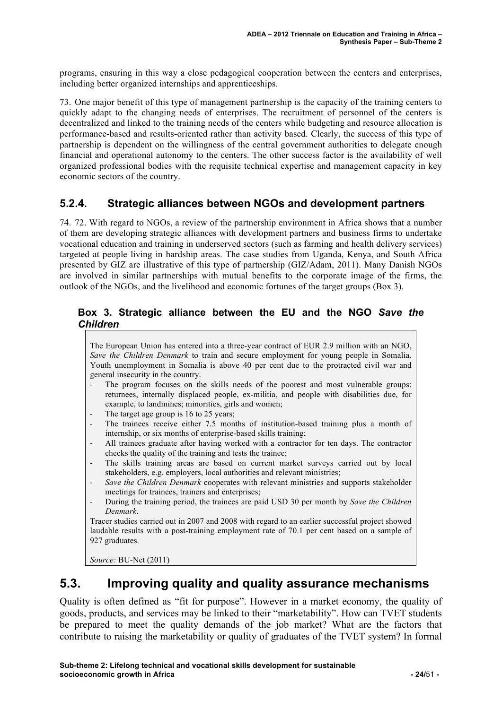programs, ensuring in this way a close pedagogical cooperation between the centers and enterprises, including better organized internships and apprenticeships.

73. One major benefit of this type of management partnership is the capacity of the training centers to quickly adapt to the changing needs of enterprises. The recruitment of personnel of the centers is decentralized and linked to the training needs of the centers while budgeting and resource allocation is performance-based and results-oriented rather than activity based. Clearly, the success of this type of partnership is dependent on the willingness of the central government authorities to delegate enough financial and operational autonomy to the centers. The other success factor is the availability of well organized professional bodies with the requisite technical expertise and management capacity in key economic sectors of the country.

### **5.2.4. Strategic alliances between NGOs and development partners**

74. 72. With regard to NGOs, a review of the partnership environment in Africa shows that a number of them are developing strategic alliances with development partners and business firms to undertake vocational education and training in underserved sectors (such as farming and health delivery services) targeted at people living in hardship areas. The case studies from Uganda, Kenya, and South Africa presented by GIZ are illustrative of this type of partnership (GIZ/Adam, 2011). Many Danish NGOs are involved in similar partnerships with mutual benefits to the corporate image of the firms, the outlook of the NGOs, and the livelihood and economic fortunes of the target groups (Box 3).

#### **Box 3. Strategic alliance between the EU and the NGO** *Save the Children*

The European Union has entered into a three-year contract of EUR 2.9 million with an NGO, *Save the Children Denmark* to train and secure employment for young people in Somalia. Youth unemployment in Somalia is above 40 per cent due to the protracted civil war and general insecurity in the country. ! The program focuses on the skills needs of the poorest and most vulnerable groups: returnees, internally displaced people, ex-militia, and people with disabilities due, for example, to landmines; minorities, girls and women;

- The target age group is 16 to 25 years;
- ! The trainees receive either 7.5 months of institution-based training plus a month of internship, or six months of enterprise-based skills training;
- ! All trainees graduate after having worked with a contractor for ten days. The contractor checks the quality of the training and tests the trainee;
- ! The skills training areas are based on current market surveys carried out by local stakeholders, e.g. employers, local authorities and relevant ministries;
- ! *Save the Children Denmark* cooperates with relevant ministries and supports stakeholder meetings for trainees, trainers and enterprises;
- ! During the training period, the trainees are paid USD 30 per month by *Save the Children Denmark*.

Tracer studies carried out in 2007 and 2008 with regard to an earlier successful project showed laudable results with a post-training employment rate of 70.1 per cent based on a sample of 927 graduates.

*Source:* BU-Net (2011)

# **5.3. Improving quality and quality assurance mechanisms**

Quality is often defined as "fit for purpose". However in a market economy, the quality of goods, products, and services may be linked to their "marketability". How can TVET students be prepared to meet the quality demands of the job market? What are the factors that contribute to raising the marketability or quality of graduates of the TVET system? In formal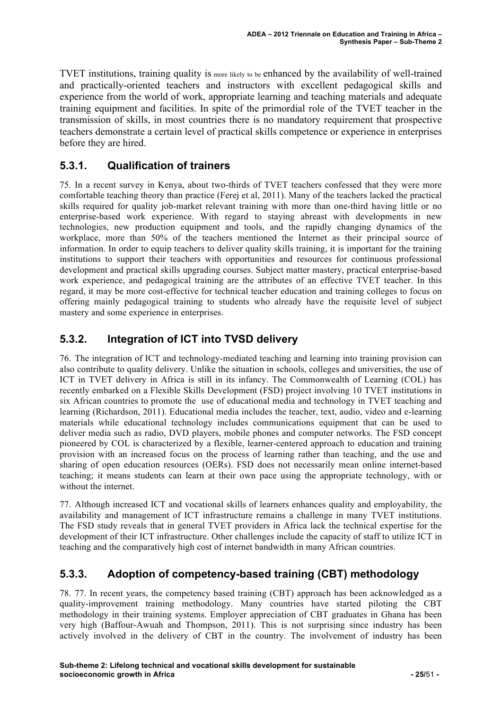TVET institutions, training quality is more likely to be enhanced by the availability of well-trained and practically-oriented teachers and instructors with excellent pedagogical skills and experience from the world of work, appropriate learning and teaching materials and adequate training equipment and facilities. In spite of the primordial role of the TVET teacher in the transmission of skills, in most countries there is no mandatory requirement that prospective teachers demonstrate a certain level of practical skills competence or experience in enterprises before they are hired.

## **5.3.1. Qualification of trainers**

75. In a recent survey in Kenya, about two-thirds of TVET teachers confessed that they were more comfortable teaching theory than practice (Ferej et al, 2011). Many of the teachers lacked the practical skills required for quality job-market relevant training with more than one-third having little or no enterprise-based work experience. With regard to staying abreast with developments in new technologies, new production equipment and tools, and the rapidly changing dynamics of the workplace, more than 50% of the teachers mentioned the Internet as their principal source of information. In order to equip teachers to deliver quality skills training, it is important for the training institutions to support their teachers with opportunities and resources for continuous professional development and practical skills upgrading courses. Subject matter mastery, practical enterprise-based work experience, and pedagogical training are the attributes of an effective TVET teacher. In this regard, it may be more cost-effective for technical teacher education and training colleges to focus on offering mainly pedagogical training to students who already have the requisite level of subject mastery and some experience in enterprises.

# **5.3.2. Integration of ICT into TVSD delivery**

76. The integration of ICT and technology-mediated teaching and learning into training provision can also contribute to quality delivery. Unlike the situation in schools, colleges and universities, the use of ICT in TVET delivery in Africa is still in its infancy. The Commonwealth of Learning (COL) has recently embarked on a Flexible Skills Development (FSD) project involving 10 TVET institutions in six African countries to promote the use of educational media and technology in TVET teaching and learning (Richardson, 2011). Educational media includes the teacher, text, audio, video and e-learning materials while educational technology includes communications equipment that can be used to deliver media such as radio, DVD players, mobile phones and computer networks. The FSD concept pioneered by COL is characterized by a flexible, learner-centered approach to education and training provision with an increased focus on the process of learning rather than teaching, and the use and sharing of open education resources (OERs). FSD does not necessarily mean online internet-based teaching; it means students can learn at their own pace using the appropriate technology, with or without the internet.

77. Although increased ICT and vocational skills of learners enhances quality and employability, the availability and management of ICT infrastructure remains a challenge in many TVET institutions. The FSD study reveals that in general TVET providers in Africa lack the technical expertise for the development of their ICT infrastructure. Other challenges include the capacity of staff to utilize ICT in teaching and the comparatively high cost of internet bandwidth in many African countries.

# **5.3.3. Adoption of competency-based training (CBT) methodology**

78. 77. In recent years, the competency based training (CBT) approach has been acknowledged as a quality-improvement training methodology. Many countries have started piloting the CBT methodology in their training systems. Employer appreciation of CBT graduates in Ghana has been very high (Baffour-Awuah and Thompson, 2011). This is not surprising since industry has been actively involved in the delivery of CBT in the country. The involvement of industry has been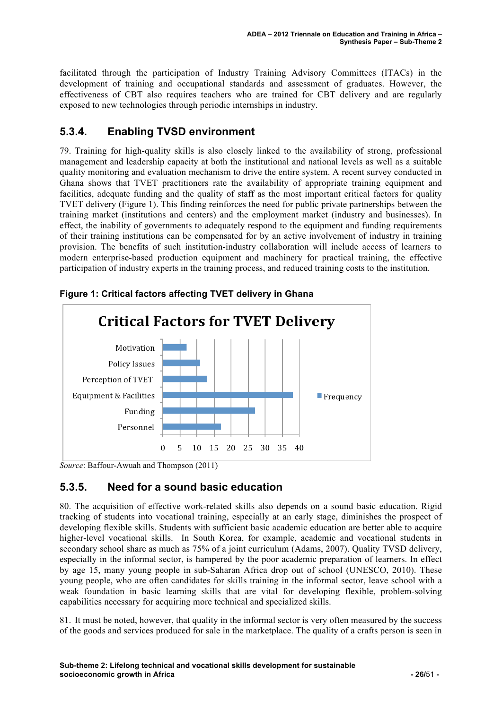facilitated through the participation of Industry Training Advisory Committees (ITACs) in the development of training and occupational standards and assessment of graduates. However, the effectiveness of CBT also requires teachers who are trained for CBT delivery and are regularly exposed to new technologies through periodic internships in industry.

## **5.3.4. Enabling TVSD environment**

79. Training for high-quality skills is also closely linked to the availability of strong, professional management and leadership capacity at both the institutional and national levels as well as a suitable quality monitoring and evaluation mechanism to drive the entire system. A recent survey conducted in Ghana shows that TVET practitioners rate the availability of appropriate training equipment and facilities, adequate funding and the quality of staff as the most important critical factors for quality TVET delivery (Figure 1). This finding reinforces the need for public private partnerships between the training market (institutions and centers) and the employment market (industry and businesses). In effect, the inability of governments to adequately respond to the equipment and funding requirements of their training institutions can be compensated for by an active involvement of industry in training provision. The benefits of such institution-industry collaboration will include access of learners to modern enterprise-based production equipment and machinery for practical training, the effective participation of industry experts in the training process, and reduced training costs to the institution.



**Figure 1: Critical factors affecting TVET delivery in Ghana**

*Source*: Baffour-Awuah and Thompson (2011)

### **5.3.5. Need for a sound basic education**

80. The acquisition of effective work-related skills also depends on a sound basic education. Rigid tracking of students into vocational training, especially at an early stage, diminishes the prospect of developing flexible skills. Students with sufficient basic academic education are better able to acquire higher-level vocational skills. In South Korea, for example, academic and vocational students in secondary school share as much as 75% of a joint curriculum (Adams, 2007). Quality TVSD delivery, especially in the informal sector, is hampered by the poor academic preparation of learners. In effect by age 15, many young people in sub-Saharan Africa drop out of school (UNESCO, 2010). These young people, who are often candidates for skills training in the informal sector, leave school with a weak foundation in basic learning skills that are vital for developing flexible, problem-solving capabilities necessary for acquiring more technical and specialized skills.

81. It must be noted, however, that quality in the informal sector is very often measured by the success of the goods and services produced for sale in the marketplace. The quality of a crafts person is seen in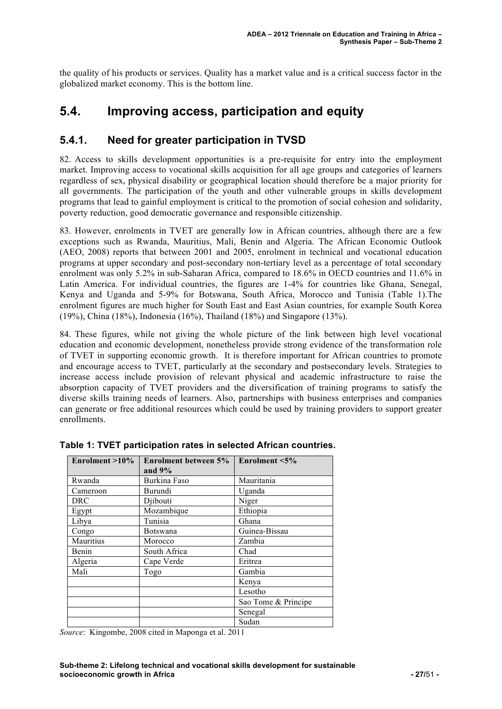the quality of his products or services. Quality has a market value and is a critical success factor in the globalized market economy. This is the bottom line.

# **5.4. Improving access, participation and equity**

### **5.4.1. Need for greater participation in TVSD**

82. Access to skills development opportunities is a pre-requisite for entry into the employment market. Improving access to vocational skills acquisition for all age groups and categories of learners regardless of sex, physical disability or geographical location should therefore be a major priority for all governments. The participation of the youth and other vulnerable groups in skills development programs that lead to gainful employment is critical to the promotion of social cohesion and solidarity, poverty reduction, good democratic governance and responsible citizenship.

83. However, enrolments in TVET are generally low in African countries, although there are a few exceptions such as Rwanda, Mauritius, Mali, Benin and Algeria. The African Economic Outlook (AEO, 2008) reports that between 2001 and 2005, enrolment in technical and vocational education programs at upper secondary and post-secondary non-tertiary level as a percentage of total secondary enrolment was only 5.2% in sub-Saharan Africa, compared to 18.6% in OECD countries and 11.6% in Latin America. For individual countries, the figures are 1-4% for countries like Ghana, Senegal, Kenya and Uganda and 5-9% for Botswana, South Africa, Morocco and Tunisia (Table 1).The enrolment figures are much higher for South East and East Asian countries, for example South Korea (19%), China (18%), Indonesia (16%), Thailand (18%) and Singapore (13%).

84. These figures, while not giving the whole picture of the link between high level vocational education and economic development, nonetheless provide strong evidence of the transformation role of TVET in supporting economic growth. It is therefore important for African countries to promote and encourage access to TVET, particularly at the secondary and postsecondary levels. Strategies to increase access include provision of relevant physical and academic infrastructure to raise the absorption capacity of TVET providers and the diversification of training programs to satisfy the diverse skills training needs of learners. Also, partnerships with business enterprises and companies can generate or free additional resources which could be used by training providers to support greater enrollments.

| Enrolment $>10\%$ | Enrolment between 5%<br>and $9%$ | Enrolment $\leq 5\%$ |
|-------------------|----------------------------------|----------------------|
| Rwanda            | Burkina Faso                     | Mauritania           |
| Cameroon          | Burundi                          | Uganda               |
| <b>DRC</b>        | Djibouti                         | Niger                |
| Egypt             | Mozambique                       | Ethiopia             |
| Libya             | Tunisia                          | Ghana                |
| Congo             | Botswana                         | Guinea-Bissau        |
| Mauritius         | Morocco                          | Zambia               |
| Benin             | South Africa                     | Chad                 |
| Algeria           | Cape Verde                       | Eritrea              |
| Mali              | Togo                             | Gambia               |
|                   |                                  | Kenya                |
|                   |                                  | Lesotho              |
|                   |                                  | Sao Tome & Principe  |
|                   |                                  | Senegal              |
|                   |                                  | Sudan                |

**Table 1: TVET participation rates in selected African countries.**

*Source*: Kingombe, 2008 cited in Maponga et al. 2011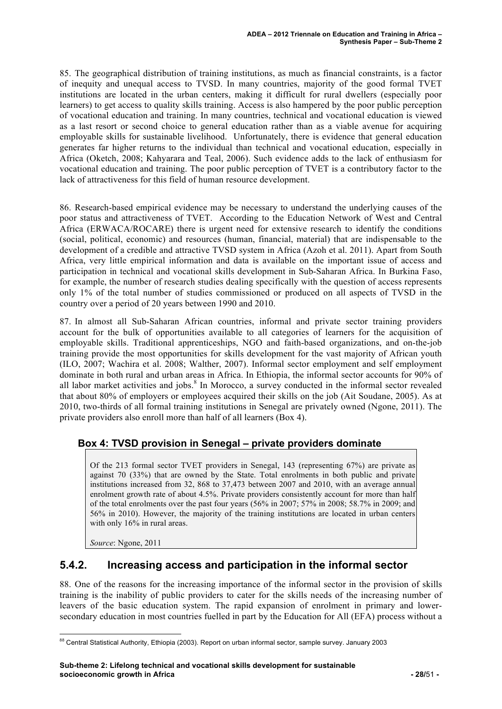85. The geographical distribution of training institutions, as much as financial constraints, is a factor of inequity and unequal access to TVSD. In many countries, majority of the good formal TVET institutions are located in the urban centers, making it difficult for rural dwellers (especially poor learners) to get access to quality skills training. Access is also hampered by the poor public perception of vocational education and training. In many countries, technical and vocational education is viewed as a last resort or second choice to general education rather than as a viable avenue for acquiring employable skills for sustainable livelihood. Unfortunately, there is evidence that general education generates far higher returns to the individual than technical and vocational education, especially in Africa (Oketch, 2008; Kahyarara and Teal, 2006). Such evidence adds to the lack of enthusiasm for vocational education and training. The poor public perception of TVET is a contributory factor to the lack of attractiveness for this field of human resource development.

86. Research-based empirical evidence may be necessary to understand the underlying causes of the poor status and attractiveness of TVET. According to the Education Network of West and Central Africa (ERWACA/ROCARE) there is urgent need for extensive research to identify the conditions (social, political, economic) and resources (human, financial, material) that are indispensable to the development of a credible and attractive TVSD system in Africa (Azoh et al. 2011). Apart from South Africa, very little empirical information and data is available on the important issue of access and participation in technical and vocational skills development in Sub-Saharan Africa. In Burkina Faso, for example, the number of research studies dealing specifically with the question of access represents only 1% of the total number of studies commissioned or produced on all aspects of TVSD in the country over a period of 20 years between 1990 and 2010.

87. In almost all Sub-Saharan African countries, informal and private sector training providers account for the bulk of opportunities available to all categories of learners for the acquisition of employable skills. Traditional apprenticeships, NGO and faith-based organizations, and on-the-job training provide the most opportunities for skills development for the vast majority of African youth (ILO, 2007; Wachira et al. 2008; Walther, 2007). Informal sector employment and self employment dominate in both rural and urban areas in Africa. In Ethiopia, the informal sector accounts for 90% of all labor market activities and jobs.<sup>8</sup> In Morocco, a survey conducted in the informal sector revealed that about 80% of employers or employees acquired their skills on the job (Ait Soudane, 2005). As at 2010, two-thirds of all formal training institutions in Senegal are privately owned (Ngone, 2011). The private providers also enroll more than half of all learners (Box 4).

#### **Box 4: TVSD provision in Senegal – private providers dominate**

Of the 213 formal sector TVET providers in Senegal, 143 (representing 67%) are private as against 70 (33%) that are owned by the State. Total enrolments in both public and private institutions increased from 32, 868 to 37,473 between 2007 and 2010, with an average annual enrolment growth rate of about 4.5%. Private providers consistently account for more than half of the total enrolments over the past four years (56% in 2007; 57% in 2008; 58.7% in 2009; and 56% in 2010). However, the majority of the training institutions are located in urban centers with only 16% in rural areas.

*Source*: Ngone, 2011

### **5.4.2. Increasing access and participation in the informal sector**

88. One of the reasons for the increasing importance of the informal sector in the provision of skills training is the inability of public providers to cater for the skills needs of the increasing number of leavers of the basic education system. The rapid expansion of enrolment in primary and lowersecondary education in most countries fuelled in part by the Education for All (EFA) process without a

 <sup>88</sup> Central Statistical Authority, Ethiopia (2003). Report on urban informal sector, sample survey. January 2003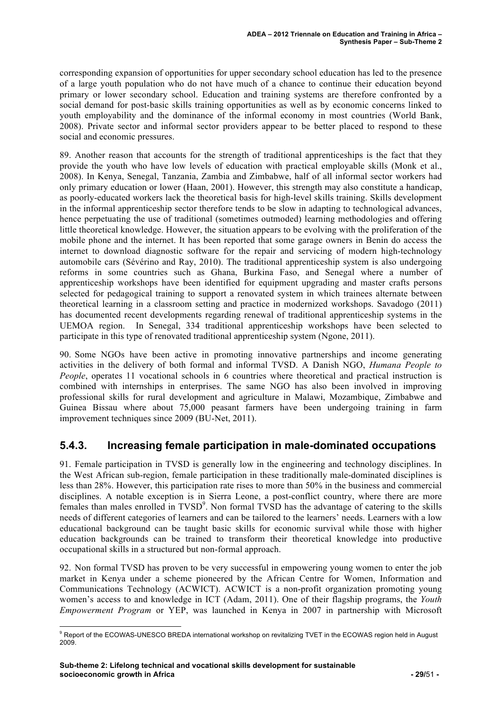corresponding expansion of opportunities for upper secondary school education has led to the presence of a large youth population who do not have much of a chance to continue their education beyond primary or lower secondary school. Education and training systems are therefore confronted by a social demand for post-basic skills training opportunities as well as by economic concerns linked to youth employability and the dominance of the informal economy in most countries (World Bank, 2008). Private sector and informal sector providers appear to be better placed to respond to these social and economic pressures.

89. Another reason that accounts for the strength of traditional apprenticeships is the fact that they provide the youth who have low levels of education with practical employable skills (Monk et al., 2008). In Kenya, Senegal, Tanzania, Zambia and Zimbabwe, half of all informal sector workers had only primary education or lower (Haan, 2001). However, this strength may also constitute a handicap, as poorly-educated workers lack the theoretical basis for high-level skills training. Skills development in the informal apprenticeship sector therefore tends to be slow in adapting to technological advances, hence perpetuating the use of traditional (sometimes outmoded) learning methodologies and offering little theoretical knowledge. However, the situation appears to be evolving with the proliferation of the mobile phone and the internet. It has been reported that some garage owners in Benin do access the internet to download diagnostic software for the repair and servicing of modern high-technology automobile cars (Sévérino and Ray, 2010). The traditional apprenticeship system is also undergoing reforms in some countries such as Ghana, Burkina Faso, and Senegal where a number of apprenticeship workshops have been identified for equipment upgrading and master crafts persons selected for pedagogical training to support a renovated system in which trainees alternate between theoretical learning in a classroom setting and practice in modernized workshops. Savadogo (2011) has documented recent developments regarding renewal of traditional apprenticeship systems in the UEMOA region. In Senegal, 334 traditional apprenticeship workshops have been selected to participate in this type of renovated traditional apprenticeship system (Ngone, 2011).

90. Some NGOs have been active in promoting innovative partnerships and income generating activities in the delivery of both formal and informal TVSD. A Danish NGO, *Humana People to People*, operates 11 vocational schools in 6 countries where theoretical and practical instruction is combined with internships in enterprises. The same NGO has also been involved in improving professional skills for rural development and agriculture in Malawi, Mozambique, Zimbabwe and Guinea Bissau where about 75,000 peasant farmers have been undergoing training in farm improvement techniques since 2009 (BU-Net, 2011).

### **5.4.3. Increasing female participation in male-dominated occupations**

91. Female participation in TVSD is generally low in the engineering and technology disciplines. In the West African sub-region, female participation in these traditionally male-dominated disciplines is less than 28%. However, this participation rate rises to more than 50% in the business and commercial disciplines. A notable exception is in Sierra Leone, a post-conflict country, where there are more females than males enrolled in TVSD<sup>9</sup>. Non formal TVSD has the advantage of catering to the skills needs of different categories of learners and can be tailored to the learners' needs. Learners with a low educational background can be taught basic skills for economic survival while those with higher education backgrounds can be trained to transform their theoretical knowledge into productive occupational skills in a structured but non-formal approach.

92. Non formal TVSD has proven to be very successful in empowering young women to enter the job market in Kenya under a scheme pioneered by the African Centre for Women, Information and Communications Technology (ACWICT). ACWICT is a non-profit organization promoting young women's access to and knowledge in ICT (Adam, 2011). One of their flagship programs, the *Youth Empowerment Program* or YEP, was launched in Kenya in 2007 in partnership with Microsoft

 <sup>9</sup> Report of the ECOWAS-UNESCO BREDA international workshop on revitalizing TVET in the ECOWAS region held in August 2009.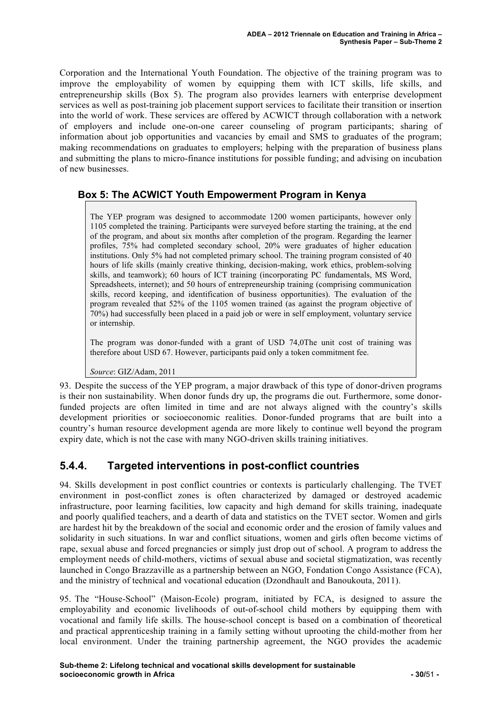Corporation and the International Youth Foundation. The objective of the training program was to improve the employability of women by equipping them with ICT skills, life skills, and entrepreneurship skills (Box 5). The program also provides learners with enterprise development services as well as post-training job placement support services to facilitate their transition or insertion into the world of work. These services are offered by ACWICT through collaboration with a network of employers and include one-on-one career counseling of program participants; sharing of information about job opportunities and vacancies by email and SMS to graduates of the program; making recommendations on graduates to employers; helping with the preparation of business plans and submitting the plans to micro-finance institutions for possible funding; and advising on incubation of new businesses.

### **Box 5: The ACWICT Youth Empowerment Program in Kenya**

The YEP program was designed to accommodate 1200 women participants, however only 1105 completed the training. Participants were surveyed before starting the training, at the end of the program, and about six months after completion of the program. Regarding the learner profiles, 75% had completed secondary school, 20% were graduates of higher education institutions. Only 5% had not completed primary school. The training program consisted of 40 hours of life skills (mainly creative thinking, decision-making, work ethics, problem-solving skills, and teamwork); 60 hours of ICT training (incorporating PC fundamentals, MS Word, Spreadsheets, internet); and 50 hours of entrepreneurship training (comprising communication skills, record keeping, and identification of business opportunities). The evaluation of the program revealed that 52% of the 1105 women trained (as against the program objective of 70%) had successfully been placed in a paid job or were in self employment, voluntary service or internship.

The program was donor-funded with a grant of USD 74,0The unit cost of training was therefore about USD 67. However, participants paid only a token commitment fee.

*Source*: GIZ/Adam, 2011

93. Despite the success of the YEP program, a major drawback of this type of donor-driven programs is their non sustainability. When donor funds dry up, the programs die out. Furthermore, some donorfunded projects are often limited in time and are not always aligned with the country's skills development priorities or socioeconomic realities. Donor-funded programs that are built into a country's human resource development agenda are more likely to continue well beyond the program expiry date, which is not the case with many NGO-driven skills training initiatives.

### **5.4.4. Targeted interventions in post-conflict countries**

94. Skills development in post conflict countries or contexts is particularly challenging. The TVET environment in post-conflict zones is often characterized by damaged or destroyed academic infrastructure, poor learning facilities, low capacity and high demand for skills training, inadequate and poorly qualified teachers, and a dearth of data and statistics on the TVET sector. Women and girls are hardest hit by the breakdown of the social and economic order and the erosion of family values and solidarity in such situations. In war and conflict situations, women and girls often become victims of rape, sexual abuse and forced pregnancies or simply just drop out of school. A program to address the employment needs of child-mothers, victims of sexual abuse and societal stigmatization, was recently launched in Congo Brazzaville as a partnership between an NGO, Fondation Congo Assistance (FCA), and the ministry of technical and vocational education (Dzondhault and Banoukouta, 2011).

95. The "House-School" (Maison-Ecole) program, initiated by FCA, is designed to assure the employability and economic livelihoods of out-of-school child mothers by equipping them with vocational and family life skills. The house-school concept is based on a combination of theoretical and practical apprenticeship training in a family setting without uprooting the child-mother from her local environment. Under the training partnership agreement, the NGO provides the academic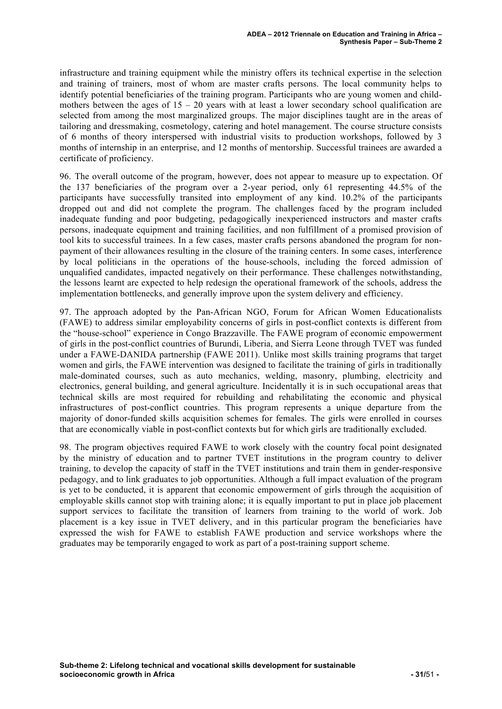infrastructure and training equipment while the ministry offers its technical expertise in the selection and training of trainers, most of whom are master crafts persons. The local community helps to identify potential beneficiaries of the training program. Participants who are young women and childmothers between the ages of  $15 - 20$  years with at least a lower secondary school qualification are selected from among the most marginalized groups. The major disciplines taught are in the areas of tailoring and dressmaking, cosmetology, catering and hotel management. The course structure consists of 6 months of theory interspersed with industrial visits to production workshops, followed by 3 months of internship in an enterprise, and 12 months of mentorship. Successful trainees are awarded a certificate of proficiency.

96. The overall outcome of the program, however, does not appear to measure up to expectation. Of the 137 beneficiaries of the program over a 2-year period, only 61 representing 44.5% of the participants have successfully transited into employment of any kind. 10.2% of the participants dropped out and did not complete the program. The challenges faced by the program included inadequate funding and poor budgeting, pedagogically inexperienced instructors and master crafts persons, inadequate equipment and training facilities, and non fulfillment of a promised provision of tool kits to successful trainees. In a few cases, master crafts persons abandoned the program for nonpayment of their allowances resulting in the closure of the training centers. In some cases, interference by local politicians in the operations of the house-schools, including the forced admission of unqualified candidates, impacted negatively on their performance. These challenges notwithstanding, the lessons learnt are expected to help redesign the operational framework of the schools, address the implementation bottlenecks, and generally improve upon the system delivery and efficiency.

97. The approach adopted by the Pan-African NGO, Forum for African Women Educationalists (FAWE) to address similar employability concerns of girls in post-conflict contexts is different from the "house-school" experience in Congo Brazzaville. The FAWE program of economic empowerment of girls in the post-conflict countries of Burundi, Liberia, and Sierra Leone through TVET was funded under a FAWE-DANIDA partnership (FAWE 2011). Unlike most skills training programs that target women and girls, the FAWE intervention was designed to facilitate the training of girls in traditionally male-dominated courses, such as auto mechanics, welding, masonry, plumbing, electricity and electronics, general building, and general agriculture. Incidentally it is in such occupational areas that technical skills are most required for rebuilding and rehabilitating the economic and physical infrastructures of post-conflict countries. This program represents a unique departure from the majority of donor-funded skills acquisition schemes for females. The girls were enrolled in courses that are economically viable in post-conflict contexts but for which girls are traditionally excluded.

98. The program objectives required FAWE to work closely with the country focal point designated by the ministry of education and to partner TVET institutions in the program country to deliver training, to develop the capacity of staff in the TVET institutions and train them in gender-responsive pedagogy, and to link graduates to job opportunities. Although a full impact evaluation of the program is yet to be conducted, it is apparent that economic empowerment of girls through the acquisition of employable skills cannot stop with training alone; it is equally important to put in place job placement support services to facilitate the transition of learners from training to the world of work. Job placement is a key issue in TVET delivery, and in this particular program the beneficiaries have expressed the wish for FAWE to establish FAWE production and service workshops where the graduates may be temporarily engaged to work as part of a post-training support scheme.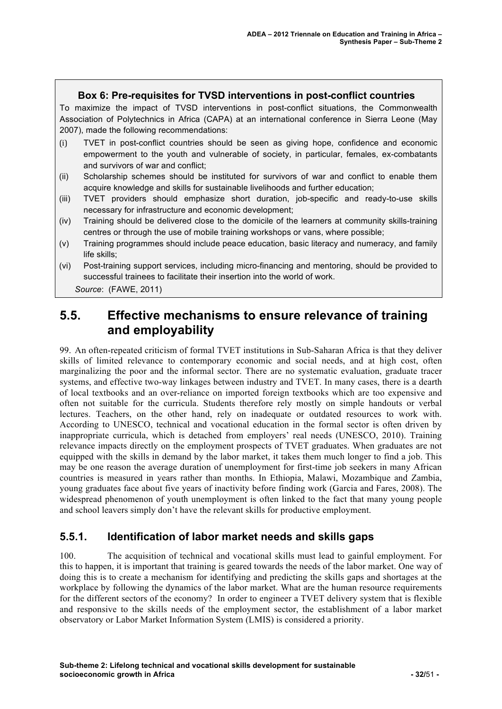#### **Box 6: Pre-requisites for TVSD interventions in post-conflict countries**

To maximize the impact of TVSD interventions in post-conflict situations, the Commonwealth Association of Polytechnics in Africa (CAPA) at an international conference in Sierra Leone (May 2007), made the following recommendations:

- (i) TVET in post-conflict countries should be seen as giving hope, confidence and economic empowerment to the youth and vulnerable of society, in particular, females, ex-combatants and survivors of war and conflict;
- (ii) Scholarship schemes should be instituted for survivors of war and conflict to enable them acquire knowledge and skills for sustainable livelihoods and further education;
- (iii) TVET providers should emphasize short duration, job-specific and ready-to-use skills necessary for infrastructure and economic development;
- (iv) Training should be delivered close to the domicile of the learners at community skills-training centres or through the use of mobile training workshops or vans, where possible;
- (v) Training programmes should include peace education, basic literacy and numeracy, and family life skills;
- (vi) Post-training support services, including micro-financing and mentoring, should be provided to successful trainees to facilitate their insertion into the world of work.

*Source*: (FAWE, 2011)

# **5.5. Effective mechanisms to ensure relevance of training and employability**

99. An often-repeated criticism of formal TVET institutions in Sub-Saharan Africa is that they deliver skills of limited relevance to contemporary economic and social needs, and at high cost, often marginalizing the poor and the informal sector. There are no systematic evaluation, graduate tracer systems, and effective two-way linkages between industry and TVET. In many cases, there is a dearth of local textbooks and an over-reliance on imported foreign textbooks which are too expensive and often not suitable for the curricula. Students therefore rely mostly on simple handouts or verbal lectures. Teachers, on the other hand, rely on inadequate or outdated resources to work with. According to UNESCO, technical and vocational education in the formal sector is often driven by inappropriate curricula, which is detached from employers' real needs (UNESCO, 2010). Training relevance impacts directly on the employment prospects of TVET graduates. When graduates are not equipped with the skills in demand by the labor market, it takes them much longer to find a job. This may be one reason the average duration of unemployment for first-time job seekers in many African countries is measured in years rather than months. In Ethiopia, Malawi, Mozambique and Zambia, young graduates face about five years of inactivity before finding work (Garcia and Fares, 2008). The widespread phenomenon of youth unemployment is often linked to the fact that many young people and school leavers simply don't have the relevant skills for productive employment.

### **5.5.1. Identification of labor market needs and skills gaps**

100. The acquisition of technical and vocational skills must lead to gainful employment. For this to happen, it is important that training is geared towards the needs of the labor market. One way of doing this is to create a mechanism for identifying and predicting the skills gaps and shortages at the workplace by following the dynamics of the labor market. What are the human resource requirements for the different sectors of the economy? In order to engineer a TVET delivery system that is flexible and responsive to the skills needs of the employment sector, the establishment of a labor market observatory or Labor Market Information System (LMIS) is considered a priority.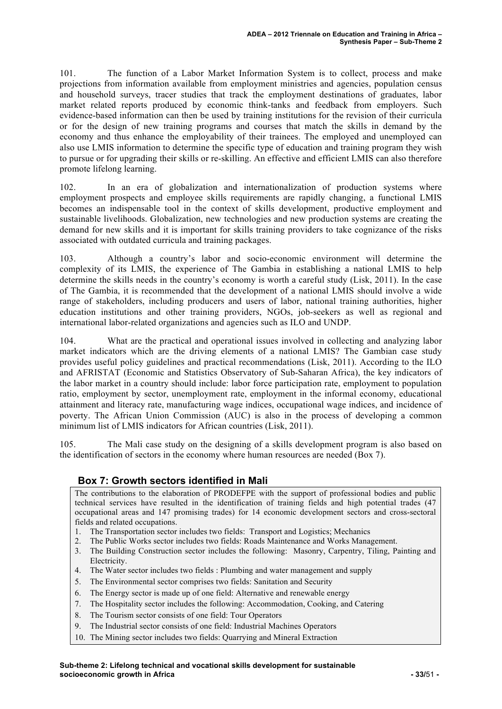101. The function of a Labor Market Information System is to collect, process and make projections from information available from employment ministries and agencies, population census and household surveys, tracer studies that track the employment destinations of graduates, labor market related reports produced by economic think-tanks and feedback from employers. Such evidence-based information can then be used by training institutions for the revision of their curricula or for the design of new training programs and courses that match the skills in demand by the economy and thus enhance the employability of their trainees. The employed and unemployed can also use LMIS information to determine the specific type of education and training program they wish to pursue or for upgrading their skills or re-skilling. An effective and efficient LMIS can also therefore promote lifelong learning.

102. In an era of globalization and internationalization of production systems where employment prospects and employee skills requirements are rapidly changing, a functional LMIS becomes an indispensable tool in the context of skills development, productive employment and sustainable livelihoods. Globalization, new technologies and new production systems are creating the demand for new skills and it is important for skills training providers to take cognizance of the risks associated with outdated curricula and training packages.

103. Although a country's labor and socio-economic environment will determine the complexity of its LMIS, the experience of The Gambia in establishing a national LMIS to help determine the skills needs in the country's economy is worth a careful study (Lisk, 2011). In the case of The Gambia, it is recommended that the development of a national LMIS should involve a wide range of stakeholders, including producers and users of labor, national training authorities, higher education institutions and other training providers, NGOs, job-seekers as well as regional and international labor-related organizations and agencies such as ILO and UNDP.

104. What are the practical and operational issues involved in collecting and analyzing labor market indicators which are the driving elements of a national LMIS? The Gambian case study provides useful policy guidelines and practical recommendations (Lisk, 2011). According to the ILO and AFRISTAT (Economic and Statistics Observatory of Sub-Saharan Africa), the key indicators of the labor market in a country should include: labor force participation rate, employment to population ratio, employment by sector, unemployment rate, employment in the informal economy, educational attainment and literacy rate, manufacturing wage indices, occupational wage indices, and incidence of poverty. The African Union Commission (AUC) is also in the process of developing a common minimum list of LMIS indicators for African countries (Lisk, 2011).

105. The Mali case study on the designing of a skills development program is also based on the identification of sectors in the economy where human resources are needed (Box 7).

#### **Box 7: Growth sectors identified in Mali**

The contributions to the elaboration of PRODEFPE with the support of professional bodies and public technical services have resulted in the identification of training fields and high potential trades (47 occupational areas and 147 promising trades) for 14 economic development sectors and cross-sectoral fields and related occupations.

- 1. The Transportation sector includes two fields: Transport and Logistics; Mechanics
- 2. The Public Works sector includes two fields: Roads Maintenance and Works Management.
- 3. The Building Construction sector includes the following: Masonry, Carpentry, Tiling, Painting and **Electricity**
- 4. The Water sector includes two fields : Plumbing and water management and supply
- 5. The Environmental sector comprises two fields: Sanitation and Security
- 6. The Energy sector is made up of one field: Alternative and renewable energy
- 7. The Hospitality sector includes the following: Accommodation, Cooking, and Catering
- 8. The Tourism sector consists of one field: Tour Operators
- 9. The Industrial sector consists of one field: Industrial Machines Operators
- 10. The Mining sector includes two fields: Quarrying and Mineral Extraction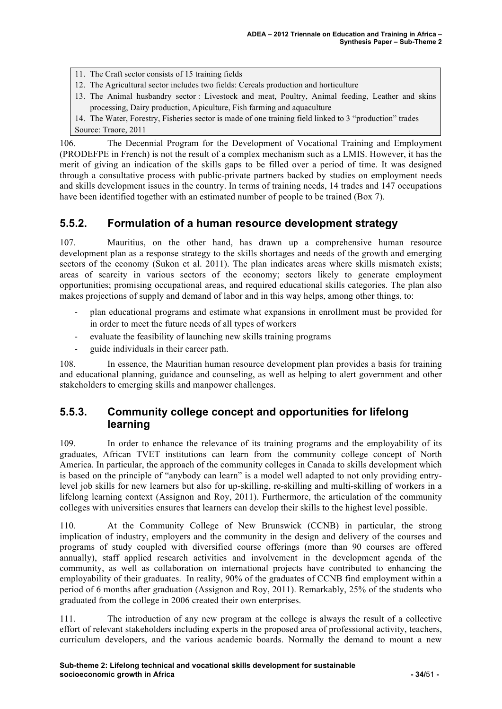- 11. The Craft sector consists of 15 training fields
- 12. The Agricultural sector includes two fields: Cereals production and horticulture
- 13. The Animal husbandry sector : Livestock and meat, Poultry, Animal feeding, Leather and skins processing, Dairy production, Apiculture, Fish farming and aquaculture
- 14. The Water, Forestry, Fisheries sector is made of one training field linked to 3 "production" trades Source: Traore, 2011

106. The Decennial Program for the Development of Vocational Training and Employment (PRODEFPE in French) is not the result of a complex mechanism such as a LMIS. However, it has the merit of giving an indication of the skills gaps to be filled over a period of time. It was designed through a consultative process with public-private partners backed by studies on employment needs and skills development issues in the country. In terms of training needs, 14 trades and 147 occupations have been identified together with an estimated number of people to be trained (Box 7).

### **5.5.2. Formulation of a human resource development strategy**

107. Mauritius, on the other hand, has drawn up a comprehensive human resource development plan as a response strategy to the skills shortages and needs of the growth and emerging sectors of the economy (Sukon et al. 2011). The plan indicates areas where skills mismatch exists; areas of scarcity in various sectors of the economy; sectors likely to generate employment opportunities; promising occupational areas, and required educational skills categories. The plan also makes projections of supply and demand of labor and in this way helps, among other things, to:

- ! plan educational programs and estimate what expansions in enrollment must be provided for in order to meet the future needs of all types of workers
- ! evaluate the feasibility of launching new skills training programs
- ! guide individuals in their career path.

108. In essence, the Mauritian human resource development plan provides a basis for training and educational planning, guidance and counseling, as well as helping to alert government and other stakeholders to emerging skills and manpower challenges.

### **5.5.3. Community college concept and opportunities for lifelong learning**

109. In order to enhance the relevance of its training programs and the employability of its graduates, African TVET institutions can learn from the community college concept of North America. In particular, the approach of the community colleges in Canada to skills development which is based on the principle of "anybody can learn" is a model well adapted to not only providing entrylevel job skills for new learners but also for up-skilling, re-skilling and multi-skilling of workers in a lifelong learning context (Assignon and Roy, 2011). Furthermore, the articulation of the community colleges with universities ensures that learners can develop their skills to the highest level possible.

110. At the Community College of New Brunswick (CCNB) in particular, the strong implication of industry, employers and the community in the design and delivery of the courses and programs of study coupled with diversified course offerings (more than 90 courses are offered annually), staff applied research activities and involvement in the development agenda of the community, as well as collaboration on international projects have contributed to enhancing the employability of their graduates. In reality, 90% of the graduates of CCNB find employment within a period of 6 months after graduation (Assignon and Roy, 2011). Remarkably, 25% of the students who graduated from the college in 2006 created their own enterprises.

111. The introduction of any new program at the college is always the result of a collective effort of relevant stakeholders including experts in the proposed area of professional activity, teachers, curriculum developers, and the various academic boards. Normally the demand to mount a new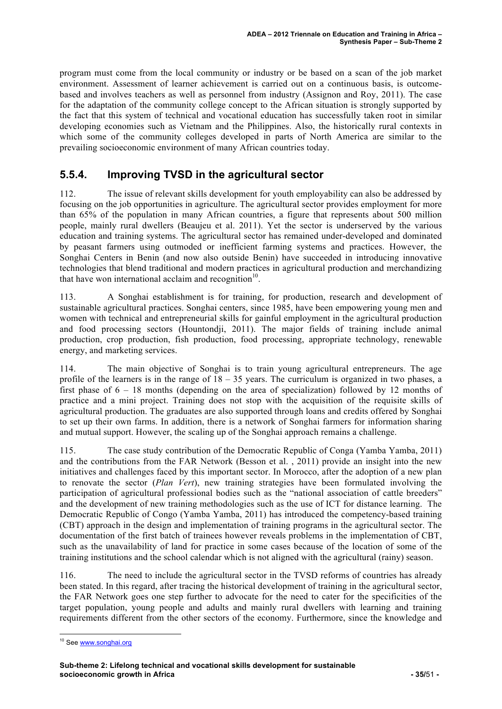program must come from the local community or industry or be based on a scan of the job market environment. Assessment of learner achievement is carried out on a continuous basis, is outcomebased and involves teachers as well as personnel from industry (Assignon and Roy, 2011). The case for the adaptation of the community college concept to the African situation is strongly supported by the fact that this system of technical and vocational education has successfully taken root in similar developing economies such as Vietnam and the Philippines. Also, the historically rural contexts in which some of the community colleges developed in parts of North America are similar to the prevailing socioeconomic environment of many African countries today.

### **5.5.4. Improving TVSD in the agricultural sector**

112. The issue of relevant skills development for youth employability can also be addressed by focusing on the job opportunities in agriculture. The agricultural sector provides employment for more than 65% of the population in many African countries, a figure that represents about 500 million people, mainly rural dwellers (Beaujeu et al. 2011). Yet the sector is underserved by the various education and training systems. The agricultural sector has remained under-developed and dominated by peasant farmers using outmoded or inefficient farming systems and practices. However, the Songhai Centers in Benin (and now also outside Benin) have succeeded in introducing innovative technologies that blend traditional and modern practices in agricultural production and merchandizing that have won international acclaim and recognition $10$ .

113. A Songhai establishment is for training, for production, research and development of sustainable agricultural practices. Songhai centers, since 1985, have been empowering young men and women with technical and entrepreneurial skills for gainful employment in the agricultural production and food processing sectors (Hountondji, 2011). The major fields of training include animal production, crop production, fish production, food processing, appropriate technology, renewable energy, and marketing services.

114. The main objective of Songhai is to train young agricultural entrepreneurs. The age profile of the learners is in the range of  $18 - 35$  years. The curriculum is organized in two phases, a first phase of  $6 - 18$  months (depending on the area of specialization) followed by 12 months of practice and a mini project. Training does not stop with the acquisition of the requisite skills of agricultural production. The graduates are also supported through loans and credits offered by Songhai to set up their own farms. In addition, there is a network of Songhai farmers for information sharing and mutual support. However, the scaling up of the Songhai approach remains a challenge.

115. The case study contribution of the Democratic Republic of Conga (Yamba Yamba, 2011) and the contributions from the FAR Network (Besson et al. , 2011) provide an insight into the new initiatives and challenges faced by this important sector. In Morocco, after the adoption of a new plan to renovate the sector (*Plan Vert*), new training strategies have been formulated involving the participation of agricultural professional bodies such as the "national association of cattle breeders" and the development of new training methodologies such as the use of ICT for distance learning. The Democratic Republic of Congo (Yamba Yamba, 2011) has introduced the competency-based training (CBT) approach in the design and implementation of training programs in the agricultural sector. The documentation of the first batch of trainees however reveals problems in the implementation of CBT, such as the unavailability of land for practice in some cases because of the location of some of the training institutions and the school calendar which is not aligned with the agricultural (rainy) season.

116. The need to include the agricultural sector in the TVSD reforms of countries has already been stated. In this regard, after tracing the historical development of training in the agricultural sector, the FAR Network goes one step further to advocate for the need to cater for the specificities of the target population, young people and adults and mainly rural dwellers with learning and training requirements different from the other sectors of the economy. Furthermore, since the knowledge and

<sup>&</sup>lt;sup>10</sup> See www.songhai.org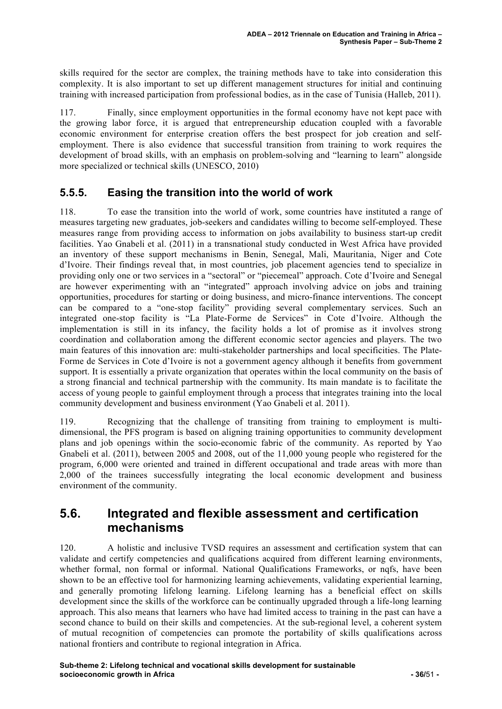skills required for the sector are complex, the training methods have to take into consideration this complexity. It is also important to set up different management structures for initial and continuing training with increased participation from professional bodies, as in the case of Tunisia (Halleb, 2011).

117. Finally, since employment opportunities in the formal economy have not kept pace with the growing labor force, it is argued that entrepreneurship education coupled with a favorable economic environment for enterprise creation offers the best prospect for job creation and selfemployment. There is also evidence that successful transition from training to work requires the development of broad skills, with an emphasis on problem-solving and "learning to learn" alongside more specialized or technical skills (UNESCO, 2010)

### **5.5.5. Easing the transition into the world of work**

118. To ease the transition into the world of work, some countries have instituted a range of measures targeting new graduates, job-seekers and candidates willing to become self-employed. These measures range from providing access to information on jobs availability to business start-up credit facilities. Yao Gnabeli et al. (2011) in a transnational study conducted in West Africa have provided an inventory of these support mechanisms in Benin, Senegal, Mali, Mauritania, Niger and Cote d'Ivoire. Their findings reveal that, in most countries, job placement agencies tend to specialize in providing only one or two services in a "sectoral" or "piecemeal" approach. Cote d'Ivoire and Senegal are however experimenting with an "integrated" approach involving advice on jobs and training opportunities, procedures for starting or doing business, and micro-finance interventions. The concept can be compared to a "one-stop facility" providing several complementary services. Such an integrated one-stop facility is "La Plate-Forme de Services" in Cote d'Ivoire. Although the implementation is still in its infancy, the facility holds a lot of promise as it involves strong coordination and collaboration among the different economic sector agencies and players. The two main features of this innovation are: multi-stakeholder partnerships and local specificities. The Plate-Forme de Services in Cote d'Ivoire is not a government agency although it benefits from government support. It is essentially a private organization that operates within the local community on the basis of a strong financial and technical partnership with the community. Its main mandate is to facilitate the access of young people to gainful employment through a process that integrates training into the local community development and business environment (Yao Gnabeli et al. 2011).

119. Recognizing that the challenge of transiting from training to employment is multidimensional, the PFS program is based on aligning training opportunities to community development plans and job openings within the socio-economic fabric of the community. As reported by Yao Gnabeli et al. (2011), between 2005 and 2008, out of the 11,000 young people who registered for the program, 6,000 were oriented and trained in different occupational and trade areas with more than 2,000 of the trainees successfully integrating the local economic development and business environment of the community.

# **5.6. Integrated and flexible assessment and certification mechanisms**

120. A holistic and inclusive TVSD requires an assessment and certification system that can validate and certify competencies and qualifications acquired from different learning environments, whether formal, non formal or informal. National Qualifications Frameworks, or ngfs, have been shown to be an effective tool for harmonizing learning achievements, validating experiential learning, and generally promoting lifelong learning. Lifelong learning has a beneficial effect on skills development since the skills of the workforce can be continually upgraded through a life-long learning approach. This also means that learners who have had limited access to training in the past can have a second chance to build on their skills and competencies. At the sub-regional level, a coherent system of mutual recognition of competencies can promote the portability of skills qualifications across national frontiers and contribute to regional integration in Africa.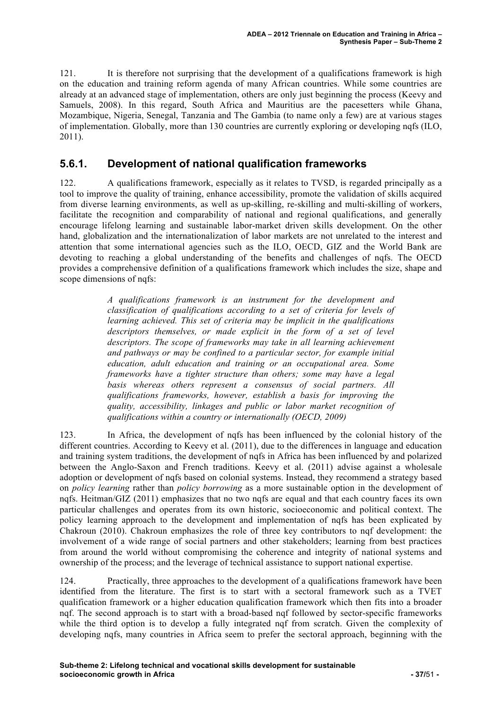121. It is therefore not surprising that the development of a qualifications framework is high on the education and training reform agenda of many African countries. While some countries are already at an advanced stage of implementation, others are only just beginning the process (Keevy and Samuels, 2008). In this regard, South Africa and Mauritius are the pacesetters while Ghana, Mozambique, Nigeria, Senegal, Tanzania and The Gambia (to name only a few) are at various stages of implementation. Globally, more than 130 countries are currently exploring or developing nqfs (ILO, 2011).

### **5.6.1. Development of national qualification frameworks**

122. A qualifications framework, especially as it relates to TVSD, is regarded principally as a tool to improve the quality of training, enhance accessibility, promote the validation of skills acquired from diverse learning environments, as well as up-skilling, re-skilling and multi-skilling of workers, facilitate the recognition and comparability of national and regional qualifications, and generally encourage lifelong learning and sustainable labor-market driven skills development. On the other hand, globalization and the internationalization of labor markets are not unrelated to the interest and attention that some international agencies such as the ILO, OECD, GIZ and the World Bank are devoting to reaching a global understanding of the benefits and challenges of nqfs. The OECD provides a comprehensive definition of a qualifications framework which includes the size, shape and scope dimensions of nqfs:

> *A qualifications framework is an instrument for the development and classification of qualifications according to a set of criteria for levels of learning achieved. This set of criteria may be implicit in the qualifications descriptors themselves, or made explicit in the form of a set of level descriptors. The scope of frameworks may take in all learning achievement and pathways or may be confined to a particular sector, for example initial education, adult education and training or an occupational area. Some frameworks have a tighter structure than others; some may have a legal basis whereas others represent a consensus of social partners. All qualifications frameworks, however, establish a basis for improving the quality, accessibility, linkages and public or labor market recognition of qualifications within a country or internationally (OECD, 2009)*

123. In Africa, the development of nqfs has been influenced by the colonial history of the different countries. According to Keevy et al. (2011), due to the differences in language and education and training system traditions, the development of nqfs in Africa has been influenced by and polarized between the Anglo-Saxon and French traditions. Keevy et al. (2011) advise against a wholesale adoption or development of nqfs based on colonial systems. Instead, they recommend a strategy based on *policy learning* rather than *policy borrowing* as a more sustainable option in the development of nqfs. Heitman/GIZ (2011) emphasizes that no two nqfs are equal and that each country faces its own particular challenges and operates from its own historic, socioeconomic and political context. The policy learning approach to the development and implementation of nqfs has been explicated by Chakroun (2010). Chakroun emphasizes the role of three key contributors to ngf development: the involvement of a wide range of social partners and other stakeholders; learning from best practices from around the world without compromising the coherence and integrity of national systems and ownership of the process; and the leverage of technical assistance to support national expertise.

124. Practically, three approaches to the development of a qualifications framework have been identified from the literature. The first is to start with a sectoral framework such as a TVET qualification framework or a higher education qualification framework which then fits into a broader nqf. The second approach is to start with a broad-based nqf followed by sector-specific frameworks while the third option is to develop a fully integrated ngf from scratch. Given the complexity of developing nqfs, many countries in Africa seem to prefer the sectoral approach, beginning with the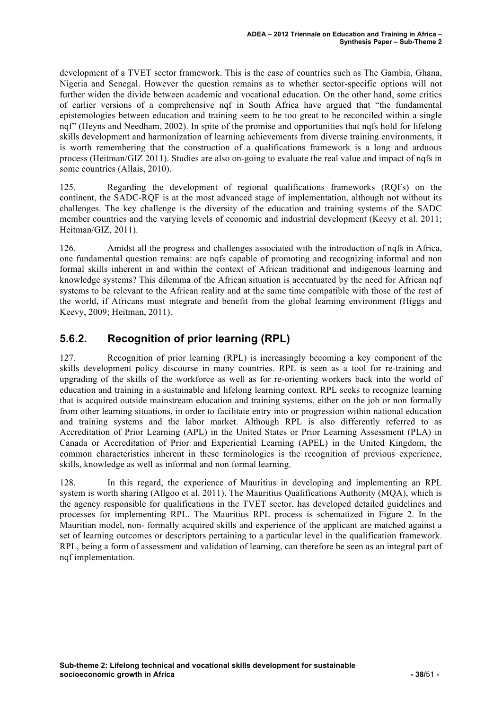development of a TVET sector framework. This is the case of countries such as The Gambia, Ghana, Nigeria and Senegal. However the question remains as to whether sector-specific options will not further widen the divide between academic and vocational education. On the other hand, some critics of earlier versions of a comprehensive nqf in South Africa have argued that "the fundamental epistemologies between education and training seem to be too great to be reconciled within a single ngf" (Heyns and Needham, 2002). In spite of the promise and opportunities that ngfs hold for lifelong skills development and harmonization of learning achievements from diverse training environments, it is worth remembering that the construction of a qualifications framework is a long and arduous process (Heitman/GIZ 2011). Studies are also on-going to evaluate the real value and impact of nqfs in some countries (Allais, 2010).

125. Regarding the development of regional qualifications frameworks (RQFs) on the continent, the SADC-RQF is at the most advanced stage of implementation, although not without its challenges. The key challenge is the diversity of the education and training systems of the SADC member countries and the varying levels of economic and industrial development (Keevy et al. 2011; Heitman/GIZ, 2011).

126. Amidst all the progress and challenges associated with the introduction of nqfs in Africa, one fundamental question remains: are nqfs capable of promoting and recognizing informal and non formal skills inherent in and within the context of African traditional and indigenous learning and knowledge systems? This dilemma of the African situation is accentuated by the need for African nqf systems to be relevant to the African reality and at the same time compatible with those of the rest of the world, if Africans must integrate and benefit from the global learning environment (Higgs and Keevy, 2009; Heitman, 2011).

# **5.6.2. Recognition of prior learning (RPL)**

127. Recognition of prior learning (RPL) is increasingly becoming a key component of the skills development policy discourse in many countries. RPL is seen as a tool for re-training and upgrading of the skills of the workforce as well as for re-orienting workers back into the world of education and training in a sustainable and lifelong learning context. RPL seeks to recognize learning that is acquired outside mainstream education and training systems, either on the job or non formally from other learning situations, in order to facilitate entry into or progression within national education and training systems and the labor market. Although RPL is also differently referred to as Accreditation of Prior Learning (APL) in the United States or Prior Learning Assessment (PLA) in Canada or Accreditation of Prior and Experiential Learning (APEL) in the United Kingdom, the common characteristics inherent in these terminologies is the recognition of previous experience, skills, knowledge as well as informal and non formal learning.

128. In this regard, the experience of Mauritius in developing and implementing an RPL system is worth sharing (Allgoo et al. 2011). The Mauritius Qualifications Authority (MQA), which is the agency responsible for qualifications in the TVET sector, has developed detailed guidelines and processes for implementing RPL. The Mauritius RPL process is schematized in Figure 2. In the Mauritian model, non- formally acquired skills and experience of the applicant are matched against a set of learning outcomes or descriptors pertaining to a particular level in the qualification framework. RPL, being a form of assessment and validation of learning, can therefore be seen as an integral part of nqf implementation.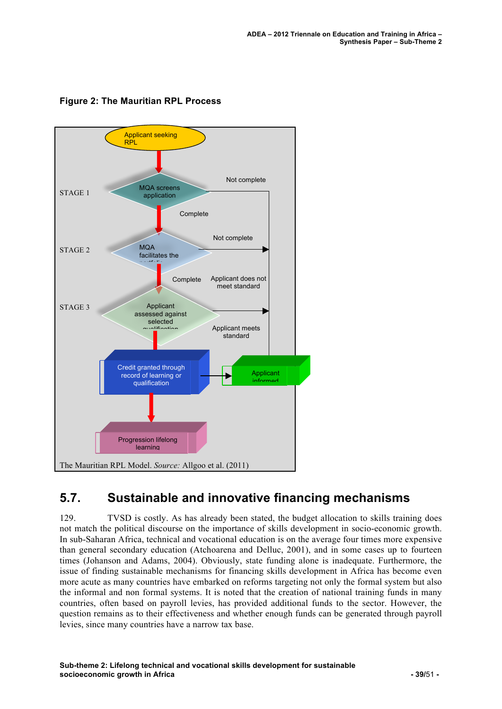

#### **Figure 2: The Mauritian RPL Process**

# **5.7. Sustainable and innovative financing mechanisms**

129. TVSD is costly. As has already been stated, the budget allocation to skills training does not match the political discourse on the importance of skills development in socio-economic growth. In sub-Saharan Africa, technical and vocational education is on the average four times more expensive than general secondary education (Atchoarena and Delluc, 2001), and in some cases up to fourteen times (Johanson and Adams, 2004). Obviously, state funding alone is inadequate. Furthermore, the issue of finding sustainable mechanisms for financing skills development in Africa has become even more acute as many countries have embarked on reforms targeting not only the formal system but also the informal and non formal systems. It is noted that the creation of national training funds in many countries, often based on payroll levies, has provided additional funds to the sector. However, the question remains as to their effectiveness and whether enough funds can be generated through payroll levies, since many countries have a narrow tax base.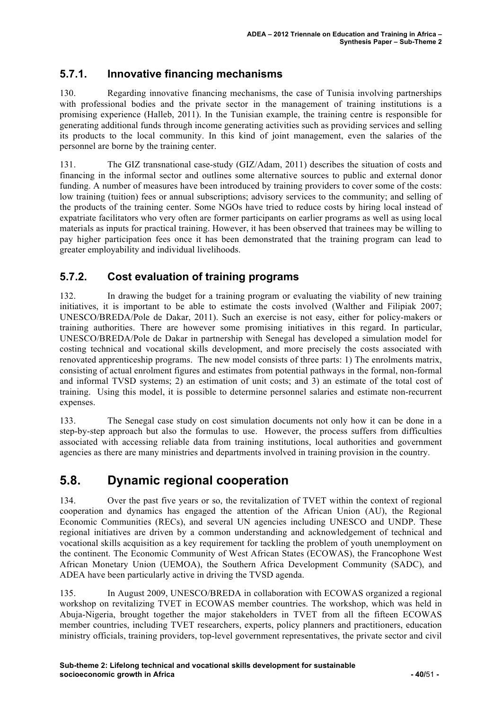## **5.7.1. Innovative financing mechanisms**

130. Regarding innovative financing mechanisms, the case of Tunisia involving partnerships with professional bodies and the private sector in the management of training institutions is a promising experience (Halleb, 2011). In the Tunisian example, the training centre is responsible for generating additional funds through income generating activities such as providing services and selling its products to the local community. In this kind of joint management, even the salaries of the personnel are borne by the training center.

131. The GIZ transnational case-study (GIZ/Adam, 2011) describes the situation of costs and financing in the informal sector and outlines some alternative sources to public and external donor funding. A number of measures have been introduced by training providers to cover some of the costs: low training (tuition) fees or annual subscriptions; advisory services to the community; and selling of the products of the training center. Some NGOs have tried to reduce costs by hiring local instead of expatriate facilitators who very often are former participants on earlier programs as well as using local materials as inputs for practical training. However, it has been observed that trainees may be willing to pay higher participation fees once it has been demonstrated that the training program can lead to greater employability and individual livelihoods.

## **5.7.2. Cost evaluation of training programs**

132. In drawing the budget for a training program or evaluating the viability of new training initiatives, it is important to be able to estimate the costs involved (Walther and Filipiak 2007; UNESCO/BREDA/Pole de Dakar, 2011). Such an exercise is not easy, either for policy-makers or training authorities. There are however some promising initiatives in this regard. In particular, UNESCO/BREDA/Pole de Dakar in partnership with Senegal has developed a simulation model for costing technical and vocational skills development, and more precisely the costs associated with renovated apprenticeship programs. The new model consists of three parts: 1) The enrolments matrix, consisting of actual enrolment figures and estimates from potential pathways in the formal, non-formal and informal TVSD systems; 2) an estimation of unit costs; and 3) an estimate of the total cost of training. Using this model, it is possible to determine personnel salaries and estimate non-recurrent expenses.

133. The Senegal case study on cost simulation documents not only how it can be done in a step-by-step approach but also the formulas to use. However, the process suffers from difficulties associated with accessing reliable data from training institutions, local authorities and government agencies as there are many ministries and departments involved in training provision in the country.

# **5.8. Dynamic regional cooperation**

134. Over the past five years or so, the revitalization of TVET within the context of regional cooperation and dynamics has engaged the attention of the African Union (AU), the Regional Economic Communities (RECs), and several UN agencies including UNESCO and UNDP. These regional initiatives are driven by a common understanding and acknowledgement of technical and vocational skills acquisition as a key requirement for tackling the problem of youth unemployment on the continent. The Economic Community of West African States (ECOWAS), the Francophone West African Monetary Union (UEMOA), the Southern Africa Development Community (SADC), and ADEA have been particularly active in driving the TVSD agenda.

135. In August 2009, UNESCO/BREDA in collaboration with ECOWAS organized a regional workshop on revitalizing TVET in ECOWAS member countries. The workshop, which was held in Abuja-Nigeria, brought together the major stakeholders in TVET from all the fifteen ECOWAS member countries, including TVET researchers, experts, policy planners and practitioners, education ministry officials, training providers, top-level government representatives, the private sector and civil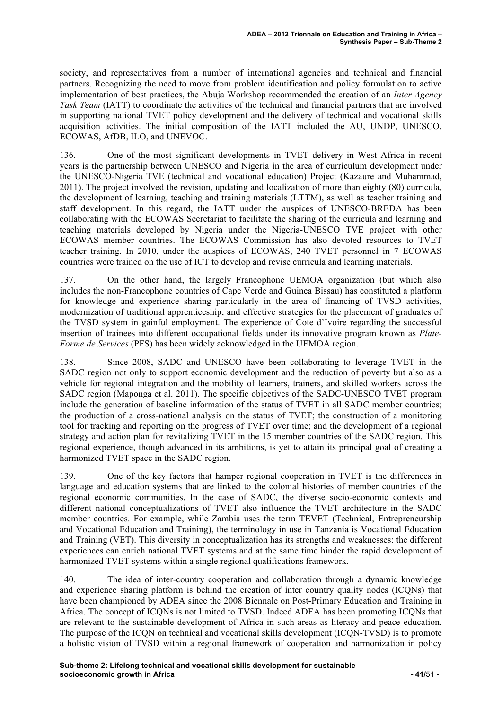society, and representatives from a number of international agencies and technical and financial partners. Recognizing the need to move from problem identification and policy formulation to active implementation of best practices, the Abuja Workshop recommended the creation of an *Inter Agency Task Team* (IATT) to coordinate the activities of the technical and financial partners that are involved in supporting national TVET policy development and the delivery of technical and vocational skills acquisition activities. The initial composition of the IATT included the AU, UNDP, UNESCO, ECOWAS, AfDB, ILO, and UNEVOC.

136. One of the most significant developments in TVET delivery in West Africa in recent years is the partnership between UNESCO and Nigeria in the area of curriculum development under the UNESCO-Nigeria TVE (technical and vocational education) Project (Kazaure and Muhammad, 2011). The project involved the revision, updating and localization of more than eighty (80) curricula, the development of learning, teaching and training materials (LTTM), as well as teacher training and staff development. In this regard, the IATT under the auspices of UNESCO-BREDA has been collaborating with the ECOWAS Secretariat to facilitate the sharing of the curricula and learning and teaching materials developed by Nigeria under the Nigeria-UNESCO TVE project with other ECOWAS member countries. The ECOWAS Commission has also devoted resources to TVET teacher training. In 2010, under the auspices of ECOWAS, 240 TVET personnel in 7 ECOWAS countries were trained on the use of ICT to develop and revise curricula and learning materials.

137. On the other hand, the largely Francophone UEMOA organization (but which also includes the non-Francophone countries of Cape Verde and Guinea Bissau) has constituted a platform for knowledge and experience sharing particularly in the area of financing of TVSD activities, modernization of traditional apprenticeship, and effective strategies for the placement of graduates of the TVSD system in gainful employment. The experience of Cote d'Ivoire regarding the successful insertion of trainees into different occupational fields under its innovative program known as *Plate-Forme de Services* (PFS) has been widely acknowledged in the UEMOA region.

138. Since 2008, SADC and UNESCO have been collaborating to leverage TVET in the SADC region not only to support economic development and the reduction of poverty but also as a vehicle for regional integration and the mobility of learners, trainers, and skilled workers across the SADC region (Maponga et al. 2011). The specific objectives of the SADC-UNESCO TVET program include the generation of baseline information of the status of TVET in all SADC member countries; the production of a cross-national analysis on the status of TVET; the construction of a monitoring tool for tracking and reporting on the progress of TVET over time; and the development of a regional strategy and action plan for revitalizing TVET in the 15 member countries of the SADC region. This regional experience, though advanced in its ambitions, is yet to attain its principal goal of creating a harmonized TVET space in the SADC region.

139. One of the key factors that hamper regional cooperation in TVET is the differences in language and education systems that are linked to the colonial histories of member countries of the regional economic communities. In the case of SADC, the diverse socio-economic contexts and different national conceptualizations of TVET also influence the TVET architecture in the SADC member countries. For example, while Zambia uses the term TEVET (Technical, Entrepreneurship and Vocational Education and Training), the terminology in use in Tanzania is Vocational Education and Training (VET). This diversity in conceptualization has its strengths and weaknesses: the different experiences can enrich national TVET systems and at the same time hinder the rapid development of harmonized TVET systems within a single regional qualifications framework.

140. The idea of inter-country cooperation and collaboration through a dynamic knowledge and experience sharing platform is behind the creation of inter country quality nodes (ICQNs) that have been championed by ADEA since the 2008 Biennale on Post-Primary Education and Training in Africa. The concept of ICQNs is not limited to TVSD. Indeed ADEA has been promoting ICQNs that are relevant to the sustainable development of Africa in such areas as literacy and peace education. The purpose of the ICQN on technical and vocational skills development (ICQN-TVSD) is to promote a holistic vision of TVSD within a regional framework of cooperation and harmonization in policy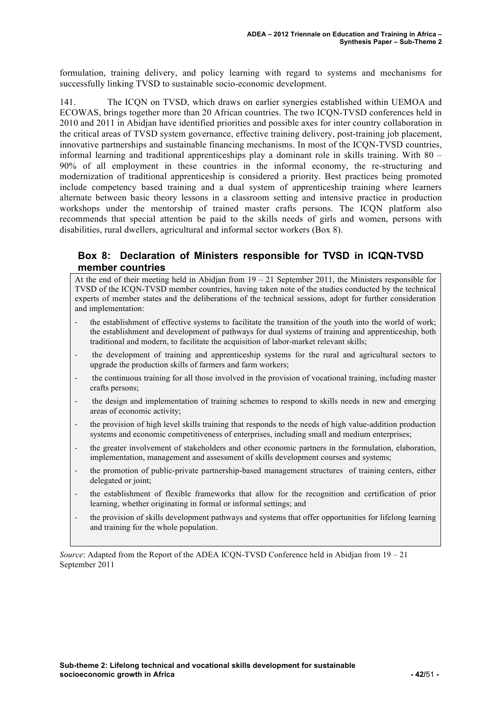formulation, training delivery, and policy learning with regard to systems and mechanisms for successfully linking TVSD to sustainable socio-economic development.

141. The ICQN on TVSD, which draws on earlier synergies established within UEMOA and ECOWAS, brings together more than 20 African countries. The two ICQN-TVSD conferences held in 2010 and 2011 in Abidjan have identified priorities and possible axes for inter country collaboration in the critical areas of TVSD system governance, effective training delivery, post-training job placement, innovative partnerships and sustainable financing mechanisms. In most of the ICQN-TVSD countries, informal learning and traditional apprenticeships play a dominant role in skills training. With 80 – 90% of all employment in these countries in the informal economy, the re-structuring and modernization of traditional apprenticeship is considered a priority. Best practices being promoted include competency based training and a dual system of apprenticeship training where learners alternate between basic theory lessons in a classroom setting and intensive practice in production workshops under the mentorship of trained master crafts persons. The ICQN platform also recommends that special attention be paid to the skills needs of girls and women, persons with disabilities, rural dwellers, agricultural and informal sector workers (Box 8).

#### **Box 8: Declaration of Ministers responsible for TVSD in ICQN-TVSD member countries**

At the end of their meeting held in Abidian from  $19 - 21$  September 2011, the Ministers responsible for TVSD of the ICQN-TVSD member countries, having taken note of the studies conducted by the technical experts of member states and the deliberations of the technical sessions, adopt for further consideration and implementation:

- the establishment of effective systems to facilitate the transition of the youth into the world of work; the establishment and development of pathways for dual systems of training and apprenticeship, both traditional and modern, to facilitate the acquisition of labor-market relevant skills;
- ! the development of training and apprenticeship systems for the rural and agricultural sectors to upgrade the production skills of farmers and farm workers;
- ! the continuous training for all those involved in the provision of vocational training, including master crafts persons;
- ! the design and implementation of training schemes to respond to skills needs in new and emerging areas of economic activity;
- ! the provision of high level skills training that responds to the needs of high value-addition production systems and economic competitiveness of enterprises, including small and medium enterprises;
- ! the greater involvement of stakeholders and other economic partners in the formulation, elaboration, implementation, management and assessment of skills development courses and systems;
- ! the promotion of public-private partnership-based management structures of training centers, either delegated or joint;
- ! the establishment of flexible frameworks that allow for the recognition and certification of prior learning, whether originating in formal or informal settings; and
- ! the provision of skills development pathways and systems that offer opportunities for lifelong learning and training for the whole population.

*Source*: Adapted from the Report of the ADEA ICQN-TVSD Conference held in Abidjan from 19 – 21 September 2011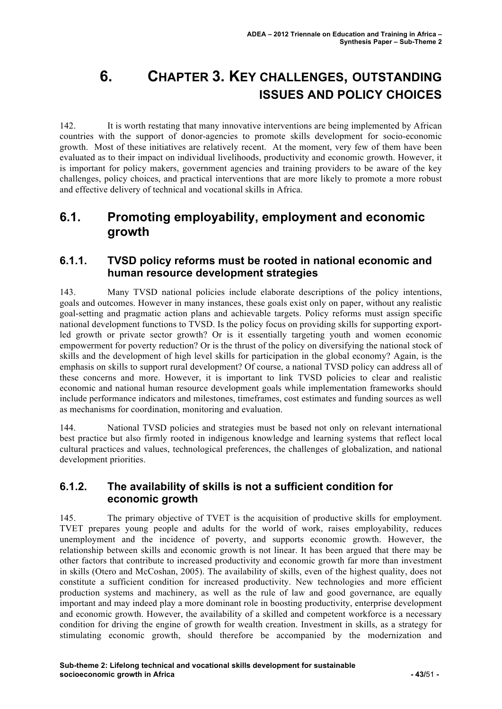# **6. CHAPTER 3. KEY CHALLENGES, OUTSTANDING ISSUES AND POLICY CHOICES**

142. It is worth restating that many innovative interventions are being implemented by African countries with the support of donor-agencies to promote skills development for socio-economic growth. Most of these initiatives are relatively recent. At the moment, very few of them have been evaluated as to their impact on individual livelihoods, productivity and economic growth. However, it is important for policy makers, government agencies and training providers to be aware of the key challenges, policy choices, and practical interventions that are more likely to promote a more robust and effective delivery of technical and vocational skills in Africa.

# **6.1. Promoting employability, employment and economic growth**

### **6.1.1. TVSD policy reforms must be rooted in national economic and human resource development strategies**

143. Many TVSD national policies include elaborate descriptions of the policy intentions, goals and outcomes. However in many instances, these goals exist only on paper, without any realistic goal-setting and pragmatic action plans and achievable targets. Policy reforms must assign specific national development functions to TVSD. Is the policy focus on providing skills for supporting exportled growth or private sector growth? Or is it essentially targeting youth and women economic empowerment for poverty reduction? Or is the thrust of the policy on diversifying the national stock of skills and the development of high level skills for participation in the global economy? Again, is the emphasis on skills to support rural development? Of course, a national TVSD policy can address all of these concerns and more. However, it is important to link TVSD policies to clear and realistic economic and national human resource development goals while implementation frameworks should include performance indicators and milestones, timeframes, cost estimates and funding sources as well as mechanisms for coordination, monitoring and evaluation.

144. National TVSD policies and strategies must be based not only on relevant international best practice but also firmly rooted in indigenous knowledge and learning systems that reflect local cultural practices and values, technological preferences, the challenges of globalization, and national development priorities.

#### **6.1.2. The availability of skills is not a sufficient condition for economic growth**

145. The primary objective of TVET is the acquisition of productive skills for employment. TVET prepares young people and adults for the world of work, raises employability, reduces unemployment and the incidence of poverty, and supports economic growth. However, the relationship between skills and economic growth is not linear. It has been argued that there may be other factors that contribute to increased productivity and economic growth far more than investment in skills (Otero and McCoshan, 2005). The availability of skills, even of the highest quality, does not constitute a sufficient condition for increased productivity. New technologies and more efficient production systems and machinery, as well as the rule of law and good governance, are equally important and may indeed play a more dominant role in boosting productivity, enterprise development and economic growth. However, the availability of a skilled and competent workforce is a necessary condition for driving the engine of growth for wealth creation. Investment in skills, as a strategy for stimulating economic growth, should therefore be accompanied by the modernization and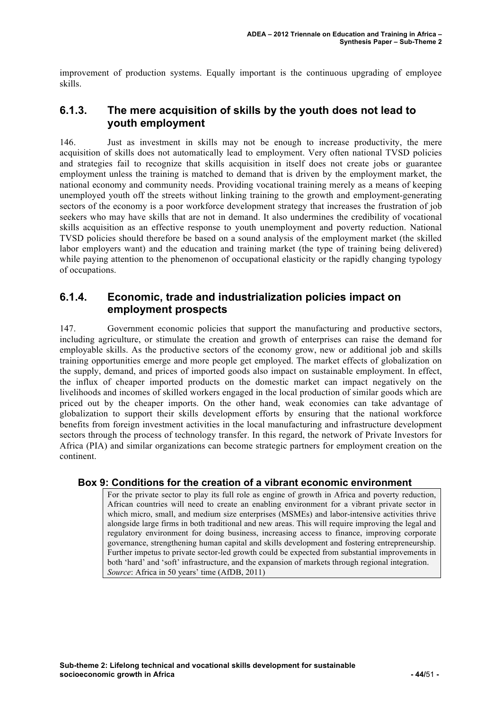improvement of production systems. Equally important is the continuous upgrading of employee skills.

### **6.1.3. The mere acquisition of skills by the youth does not lead to youth employment**

146. Just as investment in skills may not be enough to increase productivity, the mere acquisition of skills does not automatically lead to employment. Very often national TVSD policies and strategies fail to recognize that skills acquisition in itself does not create jobs or guarantee employment unless the training is matched to demand that is driven by the employment market, the national economy and community needs. Providing vocational training merely as a means of keeping unemployed youth off the streets without linking training to the growth and employment-generating sectors of the economy is a poor workforce development strategy that increases the frustration of job seekers who may have skills that are not in demand. It also undermines the credibility of vocational skills acquisition as an effective response to youth unemployment and poverty reduction. National TVSD policies should therefore be based on a sound analysis of the employment market (the skilled labor employers want) and the education and training market (the type of training being delivered) while paying attention to the phenomenon of occupational elasticity or the rapidly changing typology of occupations.

#### **6.1.4. Economic, trade and industrialization policies impact on employment prospects**

147. Government economic policies that support the manufacturing and productive sectors, including agriculture, or stimulate the creation and growth of enterprises can raise the demand for employable skills. As the productive sectors of the economy grow, new or additional job and skills training opportunities emerge and more people get employed. The market effects of globalization on the supply, demand, and prices of imported goods also impact on sustainable employment. In effect, the influx of cheaper imported products on the domestic market can impact negatively on the livelihoods and incomes of skilled workers engaged in the local production of similar goods which are priced out by the cheaper imports. On the other hand, weak economies can take advantage of globalization to support their skills development efforts by ensuring that the national workforce benefits from foreign investment activities in the local manufacturing and infrastructure development sectors through the process of technology transfer. In this regard, the network of Private Investors for Africa (PIA) and similar organizations can become strategic partners for employment creation on the continent.

#### **Box 9: Conditions for the creation of a vibrant economic environment**

For the private sector to play its full role as engine of growth in Africa and poverty reduction, African countries will need to create an enabling environment for a vibrant private sector in which micro, small, and medium size enterprises (MSMEs) and labor-intensive activities thrive alongside large firms in both traditional and new areas. This will require improving the legal and regulatory environment for doing business, increasing access to finance, improving corporate governance, strengthening human capital and skills development and fostering entrepreneurship. Further impetus to private sector-led growth could be expected from substantial improvements in both 'hard' and 'soft' infrastructure, and the expansion of markets through regional integration. *Source*: Africa in 50 years' time (AfDB, 2011)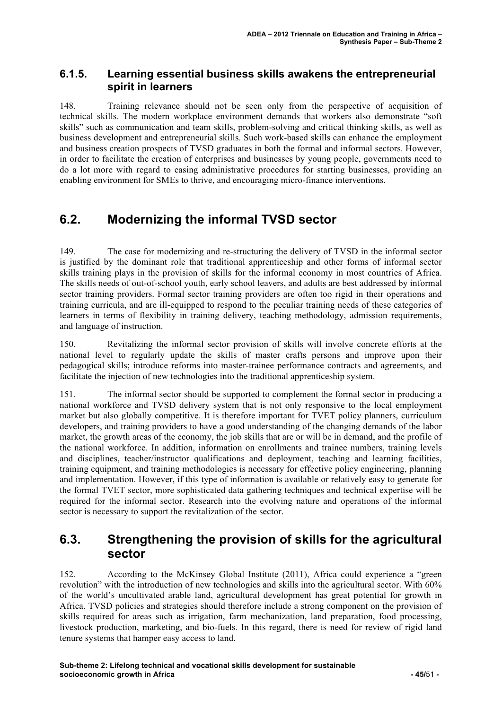### **6.1.5. Learning essential business skills awakens the entrepreneurial spirit in learners**

148. Training relevance should not be seen only from the perspective of acquisition of technical skills. The modern workplace environment demands that workers also demonstrate "soft skills" such as communication and team skills, problem-solving and critical thinking skills, as well as business development and entrepreneurial skills. Such work-based skills can enhance the employment and business creation prospects of TVSD graduates in both the formal and informal sectors. However, in order to facilitate the creation of enterprises and businesses by young people, governments need to do a lot more with regard to easing administrative procedures for starting businesses, providing an enabling environment for SMEs to thrive, and encouraging micro-finance interventions.

# **6.2. Modernizing the informal TVSD sector**

149. The case for modernizing and re-structuring the delivery of TVSD in the informal sector is justified by the dominant role that traditional apprenticeship and other forms of informal sector skills training plays in the provision of skills for the informal economy in most countries of Africa. The skills needs of out-of-school youth, early school leavers, and adults are best addressed by informal sector training providers. Formal sector training providers are often too rigid in their operations and training curricula, and are ill-equipped to respond to the peculiar training needs of these categories of learners in terms of flexibility in training delivery, teaching methodology, admission requirements, and language of instruction.

150. Revitalizing the informal sector provision of skills will involve concrete efforts at the national level to regularly update the skills of master crafts persons and improve upon their pedagogical skills; introduce reforms into master-trainee performance contracts and agreements, and facilitate the injection of new technologies into the traditional apprenticeship system.

151. The informal sector should be supported to complement the formal sector in producing a national workforce and TVSD delivery system that is not only responsive to the local employment market but also globally competitive. It is therefore important for TVET policy planners, curriculum developers, and training providers to have a good understanding of the changing demands of the labor market, the growth areas of the economy, the job skills that are or will be in demand, and the profile of the national workforce. In addition, information on enrollments and trainee numbers, training levels and disciplines, teacher/instructor qualifications and deployment, teaching and learning facilities, training equipment, and training methodologies is necessary for effective policy engineering, planning and implementation. However, if this type of information is available or relatively easy to generate for the formal TVET sector, more sophisticated data gathering techniques and technical expertise will be required for the informal sector. Research into the evolving nature and operations of the informal sector is necessary to support the revitalization of the sector.

# **6.3. Strengthening the provision of skills for the agricultural sector**

152. According to the McKinsey Global Institute (2011), Africa could experience a "green revolution" with the introduction of new technologies and skills into the agricultural sector. With 60% of the world's uncultivated arable land, agricultural development has great potential for growth in Africa. TVSD policies and strategies should therefore include a strong component on the provision of skills required for areas such as irrigation, farm mechanization, land preparation, food processing, livestock production, marketing, and bio-fuels. In this regard, there is need for review of rigid land tenure systems that hamper easy access to land.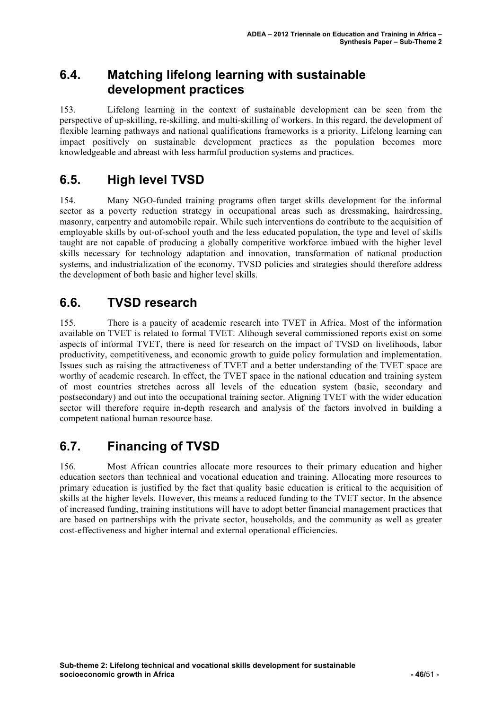# **6.4. Matching lifelong learning with sustainable development practices**

153. Lifelong learning in the context of sustainable development can be seen from the perspective of up-skilling, re-skilling, and multi-skilling of workers. In this regard, the development of flexible learning pathways and national qualifications frameworks is a priority. Lifelong learning can impact positively on sustainable development practices as the population becomes more knowledgeable and abreast with less harmful production systems and practices.

# **6.5. High level TVSD**

154. Many NGO-funded training programs often target skills development for the informal sector as a poverty reduction strategy in occupational areas such as dressmaking, hairdressing, masonry, carpentry and automobile repair. While such interventions do contribute to the acquisition of employable skills by out-of-school youth and the less educated population, the type and level of skills taught are not capable of producing a globally competitive workforce imbued with the higher level skills necessary for technology adaptation and innovation, transformation of national production systems, and industrialization of the economy. TVSD policies and strategies should therefore address the development of both basic and higher level skills.

# **6.6. TVSD research**

155. There is a paucity of academic research into TVET in Africa. Most of the information available on TVET is related to formal TVET. Although several commissioned reports exist on some aspects of informal TVET, there is need for research on the impact of TVSD on livelihoods, labor productivity, competitiveness, and economic growth to guide policy formulation and implementation. Issues such as raising the attractiveness of TVET and a better understanding of the TVET space are worthy of academic research. In effect, the TVET space in the national education and training system of most countries stretches across all levels of the education system (basic, secondary and postsecondary) and out into the occupational training sector. Aligning TVET with the wider education sector will therefore require in-depth research and analysis of the factors involved in building a competent national human resource base.

# **6.7. Financing of TVSD**

156. Most African countries allocate more resources to their primary education and higher education sectors than technical and vocational education and training. Allocating more resources to primary education is justified by the fact that quality basic education is critical to the acquisition of skills at the higher levels. However, this means a reduced funding to the TVET sector. In the absence of increased funding, training institutions will have to adopt better financial management practices that are based on partnerships with the private sector, households, and the community as well as greater cost-effectiveness and higher internal and external operational efficiencies.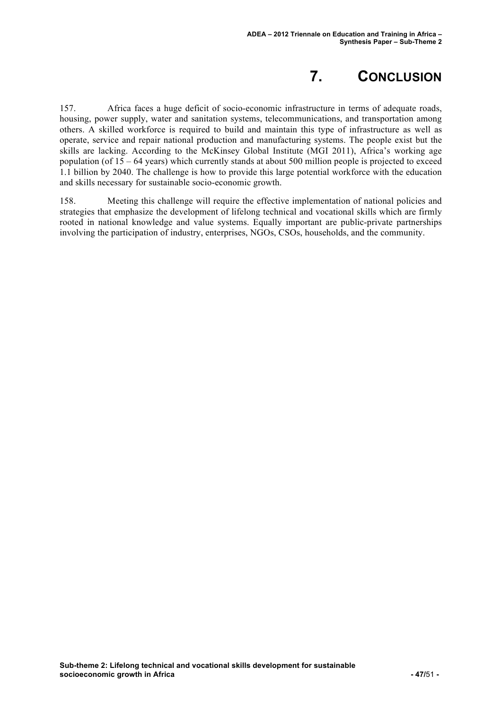# **7. CONCLUSION**

157. Africa faces a huge deficit of socio-economic infrastructure in terms of adequate roads, housing, power supply, water and sanitation systems, telecommunications, and transportation among others. A skilled workforce is required to build and maintain this type of infrastructure as well as operate, service and repair national production and manufacturing systems. The people exist but the skills are lacking. According to the McKinsey Global Institute (MGI 2011), Africa's working age population (of 15 – 64 years) which currently stands at about 500 million people is projected to exceed 1.1 billion by 2040. The challenge is how to provide this large potential workforce with the education and skills necessary for sustainable socio-economic growth.

158. Meeting this challenge will require the effective implementation of national policies and strategies that emphasize the development of lifelong technical and vocational skills which are firmly rooted in national knowledge and value systems. Equally important are public-private partnerships involving the participation of industry, enterprises, NGOs, CSOs, households, and the community.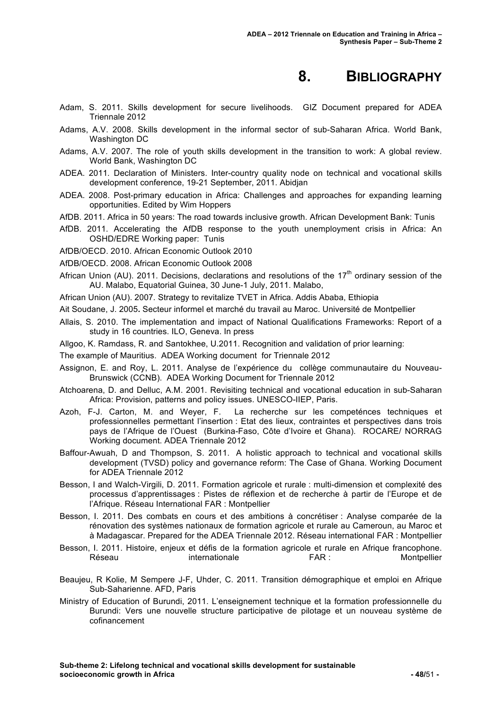# **8. BIBLIOGRAPHY**

- Adam, S. 2011. Skills development for secure livelihoods. GIZ Document prepared for ADEA Triennale 2012
- Adams, A.V. 2008. Skills development in the informal sector of sub-Saharan Africa. World Bank, Washington DC
- Adams, A.V. 2007. The role of youth skills development in the transition to work: A global review. World Bank, Washington DC
- ADEA. 2011*.* Declaration of Ministers. Inter-country quality node on technical and vocational skills development conference, 19-21 September, 2011. Abidjan
- ADEA. 2008. Post-primary education in Africa: Challenges and approaches for expanding learning opportunities. Edited by Wim Hoppers
- AfDB. 2011. Africa in 50 years: The road towards inclusive growth. African Development Bank: Tunis
- AfDB. 2011. Accelerating the AfDB response to the youth unemployment crisis in Africa: An OSHD/EDRE Working paper: Tunis
- AfDB/OECD. 2010. African Economic Outlook 2010
- AfDB/OECD. 2008. African Economic Outlook 2008
- African Union (AU). 2011. Decisions, declarations and resolutions of the  $17<sup>th</sup>$  ordinary session of the AU. Malabo, Equatorial Guinea, 30 June-1 July, 2011. Malabo,
- African Union (AU). 2007*.* Strategy to revitalize TVET in Africa. Addis Ababa, Ethiopia
- Ait Soudane, J. 2005**.** Secteur informel et marché du travail au Maroc. Université de Montpellier
- Allais, S. 2010. The implementation and impact of National Qualifications Frameworks: Report of a study in 16 countries. ILO, Geneva. In press
- Allgoo, K. Ramdass, R. and Santokhee, U.2011. Recognition and validation of prior learning:

The example of Mauritius. ADEA Working document for Triennale 2012

- Assignon, E. and Roy, L. 2011. Analyse de l'expérience du collège communautaire du Nouveau-Brunswick (CCNB). ADEA Working Document for Triennale 2012
- Atchoarena, D. and Delluc, A.M. 2001. Revisiting technical and vocational education in sub-Saharan Africa: Provision, patterns and policy issues. UNESCO-IIEP, Paris.
- Azoh, F-J. Carton, M. and Weyer, F. La recherche sur les competénces techniques et professionnelles permettant l'insertion : Etat des lieux, contraintes et perspectives dans trois pays de l'Afrique de l'Ouest (Burkina-Faso, Côte d'Ivoire et Ghana). ROCARE/ NORRAG Working document. ADEA Triennale 2012
- Baffour-Awuah, D and Thompson, S. 2011. A holistic approach to technical and vocational skills development (TVSD) policy and governance reform: The Case of Ghana. Working Document for ADEA Triennale 2012
- Besson, I and Walch-Virgili, D. 2011. Formation agricole et rurale : multi-dimension et complexité des processus d'apprentissages : Pistes de réflexion et de recherche à partir de l'Europe et de l'Afrique. Réseau International FAR : Montpellier
- Besson, I. 2011. Des combats en cours et des ambitions à concrétiser : Analyse comparée de la rénovation des systèmes nationaux de formation agricole et rurale au Cameroun, au Maroc et à Madagascar. Prepared for the ADEA Triennale 2012. Réseau international FAR : Montpellier
- Besson, I. 2011. Histoire, enjeux et défis de la formation agricole et rurale en Afrique francophone. Réseau **internationale FAR** : Montpellier
- Beaujeu, R Kolie, M Sempere J-F, Uhder, C. 2011. Transition démographique et emploi en Afrique Sub-Saharienne. AFD, Paris
- Ministry of Education of Burundi, 2011. L'enseignement technique et la formation professionnelle du Burundi: Vers une nouvelle structure participative de pilotage et un nouveau système de cofinancement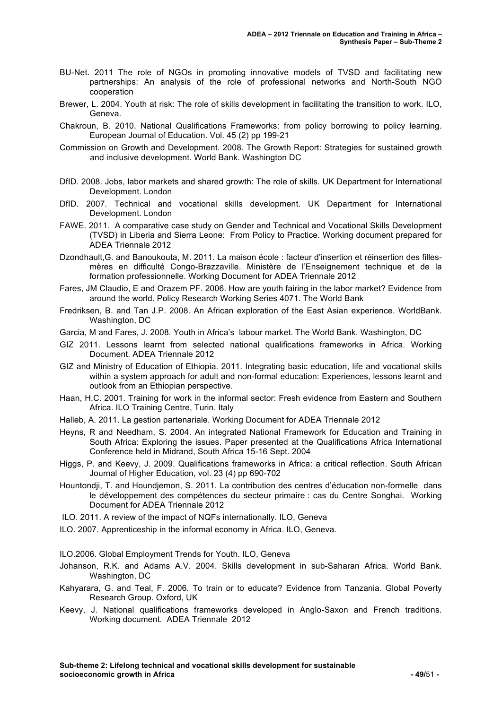- BU-Net. 2011 The role of NGOs in promoting innovative models of TVSD and facilitating new partnerships: An analysis of the role of professional networks and North-South NGO cooperation
- Brewer, L. 2004. Youth at risk: The role of skills development in facilitating the transition to work. ILO, Geneva.
- Chakroun, B. 2010. National Qualifications Frameworks: from policy borrowing to policy learning. European Journal of Education. Vol. 45 (2) pp 199-21
- Commission on Growth and Development. 2008. The Growth Report: Strategies for sustained growth and inclusive development. World Bank. Washington DC
- DfID. 2008. Jobs, labor markets and shared growth: The role of skills. UK Department for International Development. London
- DfID. 2007. Technical and vocational skills development. UK Department for International Development. London
- FAWE. 2011. A comparative case study on Gender and Technical and Vocational Skills Development (TVSD) in Liberia and Sierra Leone: From Policy to Practice. Working document prepared for ADEA Triennale 2012
- Dzondhault,G. and Banoukouta, M. 2011. La maison école : facteur d'insertion et réinsertion des fillesmères en difficulté Congo-Brazzaville. Ministère de l'Enseignement technique et de la formation professionnelle. Working Document for ADEA Triennale 2012
- Fares, JM Claudio, E and Orazem PF. 2006. How are youth fairing in the labor market? Evidence from around the world. Policy Research Working Series 4071. The World Bank
- Fredriksen, B. and Tan J.P. 2008. An African exploration of the East Asian experience. WorldBank. Washington, DC
- Garcia, M and Fares, J. 2008. Youth in Africa's labour market. The World Bank. Washington, DC
- GIZ 2011. Lessons learnt from selected national qualifications frameworks in Africa. Working Document. ADEA Triennale 2012
- GIZ and Ministry of Education of Ethiopia. 2011. Integrating basic education, life and vocational skills within a system approach for adult and non-formal education: Experiences, lessons learnt and outlook from an Ethiopian perspective.
- Haan, H.C. 2001. Training for work in the informal sector: Fresh evidence from Eastern and Southern Africa. ILO Training Centre, Turin. Italy
- Halleb, A. 2011. La gestion partenariale. Working Document for ADEA Triennale 2012
- Heyns, R and Needham, S. 2004. An integrated National Framework for Education and Training in South Africa: Exploring the issues. Paper presented at the Qualifications Africa International Conference held in Midrand, South Africa 15-16 Sept. 2004

Higgs, P. and Keevy, J. 2009. Qualifications frameworks in Africa: a critical reflection. South African Journal of Higher Education, vol. 23 (4) pp 690-702

- Hountondji, T. and Houndjemon, S. 2011. La contribution des centres d'éducation non-formelle dans le développement des compétences du secteur primaire : cas du Centre Songhai. Working Document for ADEA Triennale 2012
- ILO. 2011. A review of the impact of NQFs internationally. ILO, Geneva
- ILO. 2007*.* Apprenticeship in the informal economy in Africa. ILO, Geneva.

ILO.2006. Global Employment Trends for Youth. ILO, Geneva

- Johanson, R.K. and Adams A.V. 2004. Skills development in sub-Saharan Africa. World Bank. Washington, DC
- Kahyarara, G. and Teal, F. 2006. To train or to educate? Evidence from Tanzania. Global Poverty Research Group. Oxford, UK
- Keevy, J. National qualifications frameworks developed in Anglo-Saxon and French traditions. Working document. ADEA Triennale 2012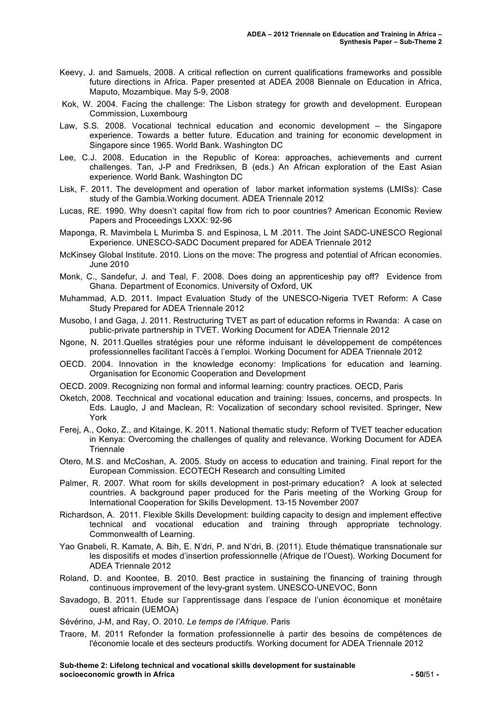- Keevy, J. and Samuels, 2008. A critical reflection on current qualifications frameworks and possible future directions in Africa. Paper presented at ADEA 2008 Biennale on Education in Africa, Maputo, Mozambique. May 5-9, 2008
- Kok, W. 2004. Facing the challenge: The Lisbon strategy for growth and development. European Commission, Luxembourg
- Law, S.S. 2008. Vocational technical education and economic development the Singapore experience. Towards a better future. Education and training for economic development in Singapore since 1965. World Bank. Washington DC
- Lee, C.J. 2008. Education in the Republic of Korea: approaches, achievements and current challenges. Tan, J-P and Fredriksen, B (eds.) An African exploration of the East Asian experience. World Bank. Washington DC
- Lisk, F. 2011. The development and operation of labor market information systems (LMISs): Case study of the Gambia.Working document. ADEA Triennale 2012
- Lucas, RE. 1990. Why doesn't capital flow from rich to poor countries? American Economic Review Papers and Proceedings LXXX: 92-96
- Maponga, R. Mavimbela L Murimba S. and Espinosa, L M .2011. The Joint SADC-UNESCO Regional Experience. UNESCO-SADC Document prepared for ADEA Triennale 2012
- McKinsey Global Institute. 2010. Lions on the move: The progress and potential of African economies. June 2010
- Monk, C., Sandefur, J. and Teal, F. 2008. Does doing an apprenticeship pay off? Evidence from Ghana. Department of Economics. University of Oxford, UK
- Muhammad, A.D. 2011. Impact Evaluation Study of the UNESCO-Nigeria TVET Reform: A Case Study Prepared for ADEA Triennale 2012
- Musobo, I and Gaga, J. 2011. Restructuring TVET as part of education reforms in Rwanda: A case on public-private partnership in TVET. Working Document for ADEA Triennale 2012
- Ngone, N. 2011.Quelles stratégies pour une réforme induisant le développement de compétences professionnelles facilitant l'accès à l'emploi. Working Document for ADEA Triennale 2012
- OECD. 2004. Innovation in the knowledge economy: Implications for education and learning. Organisation for Economic Cooperation and Development
- OECD. 2009. Recognizing non formal and informal learning: country practices. OECD, Paris
- Oketch, 2008. Tecchnical and vocational education and training: Issues, concerns, and prospects. In Eds. Lauglo, J and Maclean, R: Vocalization of secondary school revisited. Springer, New York
- Ferej, A., Ooko, Z., and Kitainge, K. 2011. National thematic study: Reform of TVET teacher education in Kenya: Overcoming the challenges of quality and relevance. Working Document for ADEA **Triennale**
- Otero, M.S. and McCoshan, A. 2005. Study on access to education and training. Final report for the European Commission. ECOTECH Research and consulting Limited
- Palmer, R. 2007. What room for skills development in post-primary education? A look at selected countries. A background paper produced for the Paris meeting of the Working Group for International Cooperation for Skills Development. 13-15 November 2007
- Richardson, A. 2011. Flexible Skills Development: building capacity to design and implement effective technical and vocational education and training through appropriate technology. Commonwealth of Learning.
- Yao Gnabeli, R. Kamate, A. Bih, E. N'dri, P. and N'dri, B. (2011). Etude thématique transnationale sur les dispositifs et modes d'insertion professionnelle (Afrique de l'Ouest). Working Document for ADEA Triennale 2012
- Roland, D. and Koontee, B. 2010. Best practice in sustaining the financing of training through continuous improvement of the levy-grant system. UNESCO-UNEVOC, Bonn
- Savadogo, B. 2011. Etude sur l'apprentissage dans l'espace de l'union économique et monétaire ouest africain (UEMOA)
- Sévérino, J-M, and Ray, O. 2010*. Le temps de l'Afrique*. Paris
- Traore, M. 2011 Refonder la formation professionnelle à partir des besoins de compétences de l'économie locale et des secteurs productifs*.* Working document for ADEA Triennale 2012